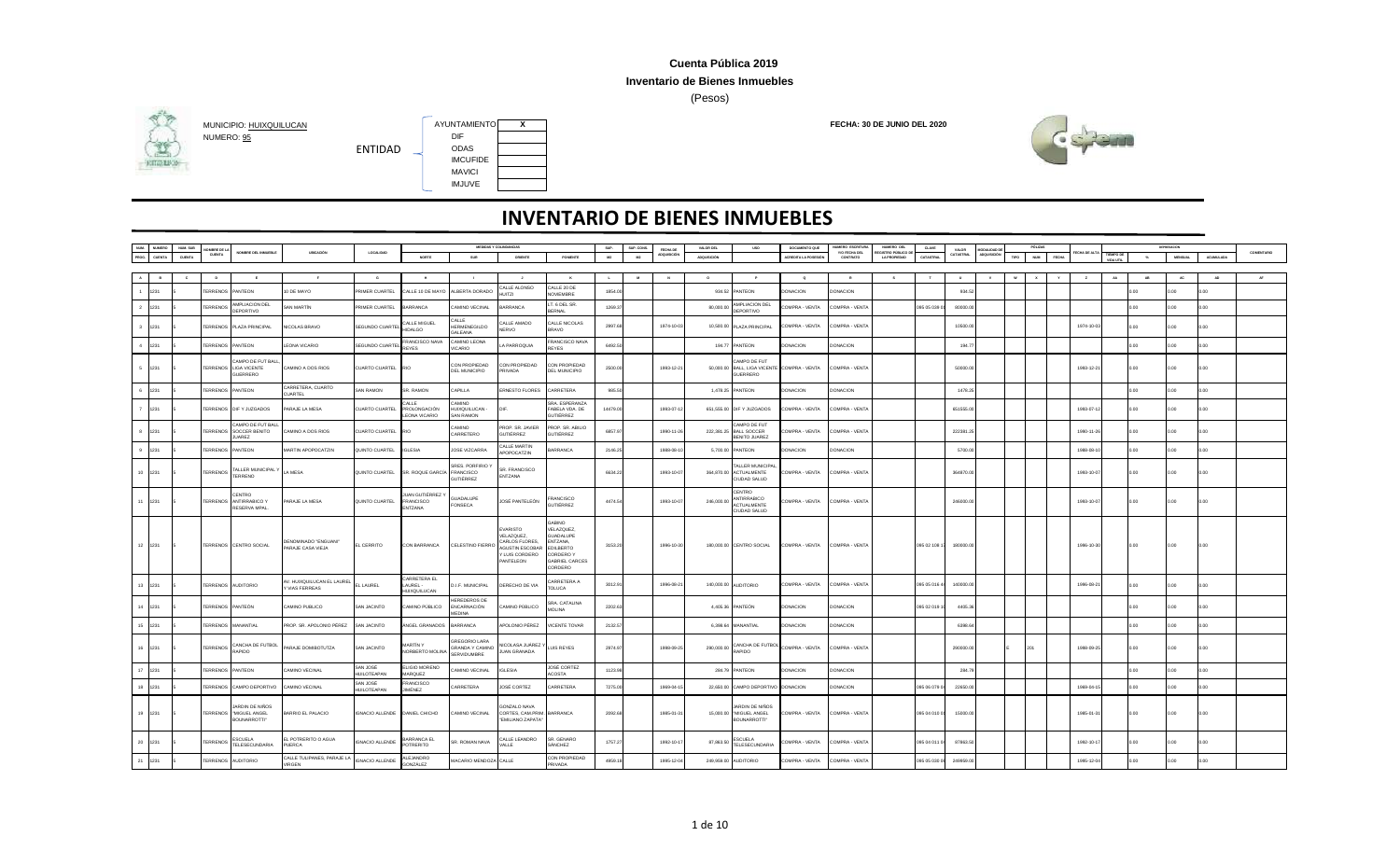### **Inventario de Bienes Inmuebles**

(Pesos)





**HITGHING** 

|                | <b>NUMERO</b> | NUM. SUB | MBRE DE                 |                                                             |                                              |                                |                                                    |                                                        | <b>MEDIDAS Y COLINDANCIAS</b>                                                             |                                                                                                                    | SUP.     | SUP. CONS. | FECHA DE   | VALOR DEL   | <b>USO</b>                                                              | DOCUMENTO QUE              | NUMERO ESCRITURA          | NUMERO DEL                               | CLAVE        | VALOR     | <b>JODALIDAD</b> |      | PÓLIZAS      |            |                        |        | DEPRESACION    |                  |            |
|----------------|---------------|----------|-------------------------|-------------------------------------------------------------|----------------------------------------------|--------------------------------|----------------------------------------------------|--------------------------------------------------------|-------------------------------------------------------------------------------------------|--------------------------------------------------------------------------------------------------------------------|----------|------------|------------|-------------|-------------------------------------------------------------------------|----------------------------|---------------------------|------------------------------------------|--------------|-----------|------------------|------|--------------|------------|------------------------|--------|----------------|------------------|------------|
| NUM.<br>PROG.  | <b>CUENTA</b> | CUENTA   | <b>CUENTA</b>           | NOMBRE DEL INMUEBLE                                         | UBICACIÓN                                    | LOCALIDAD                      | NORTE                                              | <b>SUR</b>                                             | ORIENTE                                                                                   | PONENTE                                                                                                            | M2       | M2         | ADQUISICK  | ADQUISICIÓN |                                                                         | <b>ACREDITA LA POSESIÓ</b> | Y/O FECHA DEL<br>CONTRATO | EGISTRO PÚBLICO D<br><b>LA PROPIEDAD</b> | CATASTRAL    | CATASTRA  | ADOURICIÓ        | TIPO | NUM<br>FECHA |            | TIEMPO DI<br>VIDA UTIL |        | <b>MENSUAL</b> | <b>ACUMULADA</b> | COMENTARIO |
|                |               |          |                         |                                                             |                                              |                                |                                                    |                                                        |                                                                                           |                                                                                                                    |          |            |            |             |                                                                         |                            |                           |                                          |              |           |                  |      |              |            |                        |        |                |                  |            |
| A              |               |          |                         |                                                             |                                              |                                |                                                    |                                                        |                                                                                           | $\mathbf{K}$                                                                                                       |          |            |            |             |                                                                         | $\sim$                     | $\mathbb{R}$              |                                          |              |           |                  |      |              |            |                        |        |                | AD               |            |
|                | 1231          |          | <b>TERRENOS</b>         | PANTEON                                                     | 0 DE MAYO                                    | <b>PRIMER CUARTEL</b>          | ALLE 10 DE MAYO                                    | ALBERTA DORADO                                         | CALLE ALONSO<br>HUITZI                                                                    | CALLE 20 DE<br><b>NOVIEMBRE</b>                                                                                    | 1854.00  |            |            | 934.52      | PANTEON                                                                 | <b>ONACION</b>             | <b>ONACION</b>            |                                          |              | 934.5     |                  |      |              |            |                        | 00.0   | 00.0           | 0.00             |            |
| $\overline{2}$ | 1231          |          | ERRENOS                 | MPLIACION DEL<br>DEPORTIVO                                  | SAN MARTÍN                                   | PRIMER CUARTEL                 | <b>ARRANCA</b>                                     | CAMINO VECINAL                                         | BARRANCA                                                                                  | LT. 6 DEL SR.<br>BERNAL                                                                                            | 1269.3   |            |            | 80,000.00   | AMPLIACION DEL<br>DEPORTIVO                                             | OMPRA - VENTA              | COMPRA - VENTA            |                                          | 195 05 039 0 | 80000.0   |                  |      |              |            |                        | oo     | <b>OO</b>      | 00               |            |
|                | 3 1231        |          |                         | TERRENOS PLAZA PRINCIPAL                                    | NICOLAS BRAVO                                | SEGUNDO CUARTE                 | ALLE MIGUEL<br><b>HIDALGO</b>                      | CALLE<br><b>HERMENEGILDO</b><br>GAI FANA               | ALLE AMADO<br>NERVO                                                                       | CALLE NICOLAS<br><b>BRAVO</b>                                                                                      | 2997.68  |            | 1974-10-03 |             | 10,500.00 PLAZA PRINCIPAL                                               | COMPRA - VENTA             | COMPRA - VENTA            |                                          |              | 10500.0   |                  |      |              | 1974-10-03 |                        | 0.00   | 00.0           | 0.00             |            |
|                | 4 1231        |          | <b>TERRENOS</b>         | PANTEON                                                     | LEONA VICARIO                                | SEGUNDO CUARTE                 | <b>FRANCISCO NAVA</b><br><b>REYES</b>              | CAMINO LEONA<br><b>VICARIO</b>                         | A PARROQUIA                                                                               | FRANCISCO NAVA<br>REYES                                                                                            | 6492.50  |            |            |             | 194.77 PANTEON                                                          | DONACION                   | DONACION                  |                                          |              | 194.7     |                  |      |              |            |                        | 0.00   | 0.00           | n n              |            |
|                | 5 1231        |          |                         | AMPO DE FUT BALI<br>TERRENOS LIGA VICENTE<br><b>UERRERO</b> | CAMINO A DOS RIOS                            | CUARTO CUARTEL RIO             |                                                    | CON PROPIEDAD<br>DEL MUNICIPIO                         | CON PROPIEDAD<br>PRIVADA                                                                  | CON PROPIEDAD<br>DEL MUNICIPIO                                                                                     | 2500.00  |            | 1993-12-21 |             | CAMPO DE FUT<br>50,000.00 BALL, LIGA VICENTE COMPRA - VENTA<br>GUERRERO |                            | COMPRA - VENTA            |                                          |              | 50000.0   |                  |      |              | 1993-12-2  |                        | 0.00   | 0.00           | 0.00             |            |
|                | 6 1231        |          | TERRENOS PANTEON        |                                                             | CARRETERA, CUARTO<br>CUARTEL                 | SAN RAMON                      | SR. RAMON                                          | CAPILLA                                                | <b>ERNESTO FLORES</b>                                                                     | CARRETERA                                                                                                          | 985.50   |            |            |             | 1,478.25 PANTEON                                                        | DONACION                   | DONACION                  |                                          |              | 1478.25   |                  |      |              |            |                        | 0.00   | 0.00           | 0.00             |            |
|                | 1231          |          |                         | TERRENOS DIF Y JUZGADOS                                     | PARAJE LA MESA                               | <b>CUARTO CUARTEL</b>          | ALLE<br>PROLONGACIÓN<br>EONA VICARIO               | CAMINO<br>HUIXQUILUCAN -<br><b>SAN RAMON</b>           |                                                                                           | SRA, ESPERANZA<br>FABELA VDA. DE<br>GUTIÊRREZ                                                                      | 14479.00 |            | 1993-07-1  |             | 651,555.00 DIF Y JUZGADOS                                               | OMPRA - VENTA              | COMPRA - VENTA            |                                          |              | 651555.0  |                  |      |              | 1993-07-1  |                        | $00 -$ | 00.0           | n.               |            |
|                | 8 1231        |          | <b>TERRENOS</b>         | CAMPO DE FUT BALI<br>SOCCER BENITO<br>UAREZ                 | CAMINO A DOS RIOS                            | <b>CUARTO CUARTEL</b>          | RIO                                                | <b>OVIMA</b><br>CARRETERO                              | PROP SR JAVIER<br>GUTIÊRREZ                                                               | PROP. SR. ABILIO<br>GUTIÉRREZ                                                                                      | 6857.9   |            | 1990-11-2  | 222,381.2   | CAMPO DE FUT<br><b>BALL SOCCER</b><br><b>BENITO JUAREZ</b>              | OMPRA - VENTA              | COMPRA - VENTA            |                                          |              | 222381.   |                  |      |              | 1990-11-2  |                        | $00 -$ | .00            | 0.00             |            |
|                | 9 1231        |          | <b>TERRENOS PANTEON</b> |                                                             | MARTIN APOPOCATZIN                           | QUINTO CUARTEL                 | <b>IGLESIA</b>                                     | <b>IOSE VIZCARRA</b>                                   | CALLE MARTIN<br>APOPOCATZIN                                                               | <b>BARRANCA</b>                                                                                                    | 2146.25  |            | 1988-08-1  | 5,700.00    | PANTEON                                                                 | <b>ONACION</b>             | <b>DONACION</b>           |                                          |              | 5700.00   |                  |      |              | 1988-08-1  |                        | 00.0   | 00.0           | 00               |            |
|                | 10 1231       |          | <b>TERRENOS</b>         | ALLER MUNICIPAL<br>TERRENO                                  | LA MESA                                      | QUINTO CUARTEL                 | SR. ROQUE GARCÍA                                   | SRES. PORFIRIO Y<br>FRANCISCO<br><b>GUTIÊRREZ</b>      | SR. FRANCISCO<br>ENTZANA                                                                  |                                                                                                                    | 6634.22  |            | 1993-10-07 | 364,870.00  | TALLER MUNICIPA<br>ACTUALMENTE<br>CIUDAD SALUD                          | COMPRA - VENTA             | COMPRA - VENTA            |                                          |              | 364870.00 |                  |      |              | 1993-10-07 |                        | 0.00.  | 0.00           | n n              |            |
|                | 11 1231       |          | <b>TERRENOS</b>         | <b>FNTRO</b><br>ANTIRRABICO Y<br>RESERVA MPAL.              | PARAJE LA MESA                               | QUINTO CUARTEL                 | <b>JAN GUTIÊRREZ</b><br>FRANCISCO<br>NTZANA        | GUADALUPE<br>FONSECA                                   | JOSÉ PANTELEÓN                                                                            | <b>RANCISCO</b><br><b>GUTIÊRREZ</b>                                                                                | 4474.54  |            | 1993-10-07 | 246,000.0   | CENTRO<br>ANTIRRABICO<br><b>ACTUALMENTE</b><br>CIUDAD SALUD             | COMPRA - VENTA             | COMPRA - VENTA            |                                          |              | 246000.0  |                  |      |              | 1993-10-07 |                        | 0.00   | 0.00           | 0.00             |            |
|                | 12 1231       |          |                         | TERRENOS CENTRO SOCIAL                                      | DENOMINADO "ENGUANI"<br>PARAJE CASA VIEJA    | EL CERRITO                     | CON BARRANCA                                       | CELESTINO FIERRO                                       | VARISTO<br>VELAZQUEZ.<br>CARLOS FLORES.<br>AGUSTIN ESCORAL<br>/ LUIS CORDERO<br>PANTELEON | GABINO<br>VELAZQUEZ,<br>GUADALUPE<br>ENTZANA,<br><b>EDILBERTO</b><br>CORDERO Y<br><b>GABRIEL CARCES</b><br>CORDERO | 3153.20  |            | 1996-10-30 |             | 180,000.00 CENTRO SOCIAL                                                | COMPRA - VENTA             | COMPRA - VENTA            |                                          | 095 02 108 1 | 180000.0  |                  |      |              | 1996-10-30 |                        | 0.00   | 0.00           | 0.00             |            |
|                | 13 1231       |          | TERRENOS AUDITORIO      |                                                             | AV. HUIXQUILUCAN EL LAUREL<br>Y VIAS FERREAS | EL LAUREL                      | CARRETERA EL<br>AUREL -<br><b>ILIIXOLIII LICAN</b> | D.I.F. MUNICIPAL                                       | DERECHO DE VIA                                                                            | CARRETERA A<br>TOLUCA                                                                                              | 3012.91  |            | 1996-08-2  |             | 140,000.00 AUDITORIO                                                    | COMPRA - VENTA             | COMPRA - VENTA            |                                          | 05 05 016    | 140000.00 |                  |      |              | 1996-08-2  |                        | 0.00   | 0.00           | 0.00             |            |
|                | 14 1231       |          | TERRENOS PANTEÓN        |                                                             | <b>CAMINO PUBLICO</b>                        | SAN JACINTO                    | CAMINO PÚBLICO                                     | HEREDEROS DE<br>ENCARNACIÓN<br><b>MFDINA</b>           | CAMINO PÚBLICO                                                                            | SRA. CATALINA<br><b>MOLINA</b>                                                                                     | 2202.63  |            |            |             | 4,405.36 PANTEÓN                                                        | DONACION                   | <b>DONACION</b>           |                                          | 095 02 019 1 | 4405.36   |                  |      |              |            |                        | 0.00   | 0.00           | 0.00             |            |
| 15             | 1231          |          |                         | <b>TERRENOS MANANTIAL</b>                                   | PROP. SR. APOLONIO PÉREZ                     | SAN JACINTO                    | ÁNGEL GRANADOS                                     | BARRANCA                                               | POLONIO PÉREZ                                                                             | VICENTE TOVAR                                                                                                      | 2132.57  |            |            |             | 6,398.64 MANANTIAL                                                      | <b>ONACION</b>             | DONACION                  |                                          |              | 6398.6    |                  |      |              |            |                        | 0.00   | 00.0           | 00               |            |
|                | 16 1231       |          | <b>TERRENOS</b>         | CANCHA DE FUTBOL<br>RAPIDO                                  | PARAJE DOMIBOTUTZA                           | SAN JACINTO                    | <b>MARTÍNY</b><br>NORBERTO MOLINA                  | <b>GREGORIO LARA</b><br>GRANDA Y CAMINO<br>SERVIDUMBRE | NICOLASA JUÁREZ<br><b>JUAN GRANADA</b>                                                    | LUIS REYES                                                                                                         | 2974.97  |            | 1998-09-25 | 290,000.00  | CANCHA DE FUTBOL<br>RAPIDO                                              | COMPRA - VENTA             | COMPRA - VENTA            |                                          |              | 290000.0  |                  |      | 201          | 1998-09-25 |                        | 0.00   | 0.00           | 0.00             |            |
|                | 17 1231       |          | <b>TERRENOS PANTEON</b> |                                                             | <b>CAMINO VECINAL</b>                        | SAN JOSÉ<br><b>HUILOTEAPAN</b> | <b>ELIGIO MORENO</b><br>ARQUEZ                     | CAMINO VECINAL                                         | <b>IGLESIA</b>                                                                            | JOSÉ CORTEZ<br><b>ACOSTA</b>                                                                                       | 1123.98  |            |            |             | 284.79 PANTEON                                                          | DONACION                   | DONACION                  |                                          |              | 284.7     |                  |      |              |            |                        | n nn   | on c           | n n              |            |
|                | 18 1231       |          |                         | TERRENOS CAMPO DEPORTIVO                                    | CAMINO VECINAL                               | SAN JOSÉ<br><b>HUILOTEAPAN</b> | RANCISCO<br><b>JIMÉNEZ</b>                         | CARRETERA                                              | JOSÉ CORTEZ                                                                               | CARRETERA                                                                                                          | 7275.00  |            | 1969-04-1  |             | 22,650.00 CAMPO DEPORTIVO DONACION                                      |                            | <b>DONACION</b>           |                                          | 195 06 079 0 | 22650.0   |                  |      |              | 1969-04-1  |                        | n G    | n G            | n n              |            |
|                | 19 1231       |          |                         | IARDIN DE NIÑOS<br>TERRENOS "MIGUEL ANGEL<br>BOUNARROTTI*   | BARRIO EL PALACIO                            | IGNACIO ALLENDE DANIEL CHICHO  |                                                    | CAMINO VECINAL                                         | GONZALO NAVA<br>CORTES, CAM.PRIM. BARRANCA<br>"EMILIANO ZAPATA"                           |                                                                                                                    | 2092.68  |            | 1985-01-31 |             | iardin de Niños<br>15,000.00 "MIGUEL ANGEL<br>BOUNARROTTI*              | COMPRA - VENTA             | COMPRA - VENTA            |                                          | 095 04 010 0 | 15000.0   |                  |      |              | 1985-01-31 |                        | 0.00   | 0.00           | 0.00             |            |
| 20             | 1231          |          | <b>TERRENOS</b>         | SCUELA<br>TELESECUNDARIA                                    | L POTRERITO O AGUA<br><b>PUERCA</b>          | <b>IGNACIO ALLENDE</b>         | ARRANCA EL<br><b>POTRERITO</b>                     | <b>SR. ROMAN NAVA</b>                                  | ALLE LEANDRO<br>VALLE                                                                     | SR. GENARO<br>SÁNCHEZ                                                                                              | 1757.27  |            | 1992-10-1  | 87,863.50   | <b>ESCUELA</b><br><b>TELESECUNDARIA</b>                                 | OMPRA - VENTA              | COMPRA - VENTA            |                                          | 095 04 011   | 87863.5   |                  |      |              | 1992-10-1  |                        | 00.    | 00.0           | n c              |            |
| 21             | 1231          |          |                         | ERRENOS AUDITORIO                                           | CALLE TULIPANES, PARAJE LA<br>VIRGEN         | <b>IGNACIO ALLENDE</b>         | ALEJANDRO<br><b>GONZÁLEZ</b>                       | MACARIO MENDOZA CALLE                                  |                                                                                           | CON PROPIEDAD<br><b>RIVADA</b>                                                                                     | 4959.18  |            | 1995-12-04 |             | 249,959.00 AUDITORIO                                                    | OMPRA - VENTA              | <b>COMPRA - VENTA</b>     |                                          | 195 05 030 0 | 249959.0  |                  |      |              | 1995-12-0  |                        |        | 00             |                  |            |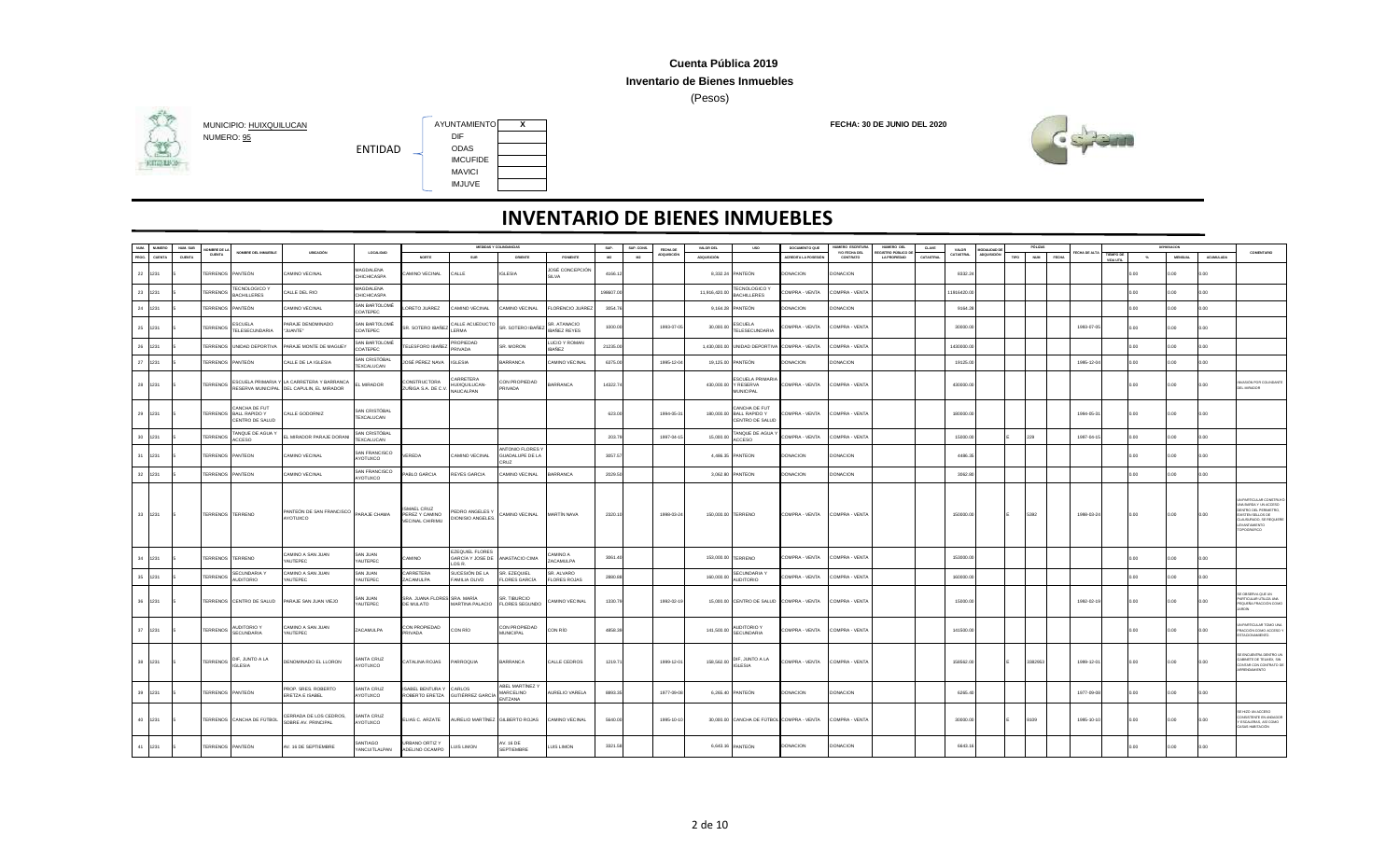### **Inventario de Bienes Inmuebles**

(Pesos)



## **HITGHING**



| NUM.            | <b>NUMERO</b> | NUM. SUP | MBRE DE L        |                                                            |                                                                                         |                                        |                                                        |                                                        | MEDIDAS Y COLINDANCIAS                         |                                       | SUP      | SUP. CONS. | FECHA DI    | VALOR DEL          | <b>USO</b>                                                          | DOCUMENTO QUE         | NUMERO ESCRITURA          | NUMERO DEL                               | CLAVE    | VALOR     | <b>DDALIDAD</b>    | PÓLIZA             |              |            |                        |               | DEPRESADE |                  |                                                                                                                                                           |
|-----------------|---------------|----------|------------------|------------------------------------------------------------|-----------------------------------------------------------------------------------------|----------------------------------------|--------------------------------------------------------|--------------------------------------------------------|------------------------------------------------|---------------------------------------|----------|------------|-------------|--------------------|---------------------------------------------------------------------|-----------------------|---------------------------|------------------------------------------|----------|-----------|--------------------|--------------------|--------------|------------|------------------------|---------------|-----------|------------------|-----------------------------------------------------------------------------------------------------------------------------------------------------------|
| PROG.           | <b>CUENTA</b> | CUENTA   | CUENTA           | OMBRE DEL INMUEBLE                                         | UBICACIÓN                                                                               | LOCALIDAD                              | NORTE                                                  | SUR                                                    | ORIENTE                                        | PONENTE                               | M2       | M2         | ADQUISICIÓN | <b>ADQUISICIÓN</b> |                                                                     | ACREDITA LA POSESIÓ   | Y/O FECHA DEL<br>CONTRATO | GISTRO PÚBLICO DI<br><b>LA PROPIEDAD</b> | CATASTRA | CATASTRAL | <b>ADQUISICIÓN</b> | TIPO<br><b>NUM</b> | <b>FECHA</b> | CHA DE AL  | TIEMPO DE<br>VIDA UTIL | $\mathcal{H}$ | MENSUAL   | <b>ACUMULADA</b> | COMENTARIO                                                                                                                                                |
|                 | 22 1231       |          | ERRENOS PANTEÓN  |                                                            | <b>CAMINO VECINAL</b>                                                                   | MAGDALENA<br><b>HICHICASPA</b>         | AMINO VECINAL                                          | ALLE                                                   | <b>IGLESIA</b>                                 | JOSÉ CONCEPCIÓN<br>SII VA             | 4166.1   |            |             |                    | 8.332.24 PANTEÓN                                                    | <b>DONACION</b>       | DONACION                  |                                          |          | 8332.24   |                    |                    |              |            |                        | ח ה           | 0.00      | 0.00             |                                                                                                                                                           |
|                 | 23 1231       |          | ERRENOS          | TECNOLOGICO \<br><b>BACHILLERES</b>                        | ALLE DEL RIO                                                                            | MAGDALENA<br>CHICHICASPA               |                                                        |                                                        |                                                |                                       | 198607.0 |            |             | 11,916,420.00      | TECNOLOGICO <sup>N</sup><br><b>BACHILLERES</b>                      | COMPRA - VENTA        | COMPRA - VENTA            |                                          |          | 1916420.0 |                    |                    |              |            |                        |               |           | 0.00             |                                                                                                                                                           |
| 24              | 1231          |          | ERRENOS          | PANTEÓN                                                    | <b>CAMINO VECINAL</b>                                                                   | SAN BARTOLOMÉ<br>COATEPEC              | ORETO JUÁREZ                                           | AMINO VECINAL                                          | CAMINO VECINAL                                 | FLORENCIO JUÁREZ                      | 3054.7   |            |             | 9,164.28           | PANTEÓN                                                             | <b>DONACION</b>       | <b>JONACION</b>           |                                          |          | 9164.2    |                    |                    |              |            |                        |               | n nn      | D.OO             |                                                                                                                                                           |
|                 | 25 1231       |          | <b>TERRENOS</b>  | <b>ESCUELA</b><br>TELESECUNDARIA                           | PARAJE DENOMINADO<br>'JUANTE*                                                           | SAN BARTOLOMÉ<br>COATEPEC              | SR. SOTERO IBAÑEZ                                      | ALLE ACUEDUCTO<br>LERMA                                | SR. SOTERO IBANEZ                              | SR. ATANACIO<br><b>IBANEZ REYES</b>   | 1000.0   |            | 1993-07-0   | 30,000.00          | <b>ESCUELA</b><br><b>TELESECUNDARIA</b>                             | COMPRA - VENTA        | COMPRA - VENTA            |                                          |          | 30000.00  |                    |                    |              | 1993-07-05 |                        | n nn          | 0.00      | n nn             |                                                                                                                                                           |
| 26              | 1231          |          |                  | ERRENOS UNIDAD DEPORTIVA                                   | PARAJE MONTE DE MAGUEY                                                                  | <b>SAN BARTOLOMÉ</b><br>COATEPEC       | ELESFORO IBAÑEZ                                        | <b>ROPIEDAD</b><br><b>PRIVADA</b>                      | SR. MORON                                      | <b>LICIO Y ROMAN</b><br><b>IBANEZ</b> | 21235.0  |            |             | 1,430,000.00       | UNIDAD DEPORTIV                                                     | COMPRA - VENTA        | COMPRA - VENTA            |                                          |          | 1430000.0 |                    |                    |              |            |                        |               |           |                  |                                                                                                                                                           |
| 27              | 1231          |          | ERRENOS PANTEÓN  |                                                            | ALLE DE LA IGLESIA                                                                      | SAN CRISTÓBAL<br>TEXCALUCAN            | JOSÉ PÉREZ NAVA                                        | <b>IGLESIA</b>                                         | BARRANCA                                       | <b>CAMINO VECINAL</b>                 | 6375.0   |            | 1995-12-0   | 19,125.00          | PANTEÓN                                                             | <b>DONACION</b>       | DONACION                  |                                          |          | 19125.00  |                    |                    |              | 1995-12-04 |                        | n n           | 0.00      | n nn             |                                                                                                                                                           |
|                 | 28 1231       |          | <b>TERRENOS</b>  |                                                            | ESCUELA PRIMARIA Y LA CARRETERA Y BARRANCA<br>RESERVA MUNICIPAL DEL CAPULIN, EL MIRADOR | L MIRADOR                              | CONSTRUCTOR A<br>ZUÑIGA S.A. DE C.V                    | ARRETERA<br>IUIXQUILUCAN-<br><b>VAUCALPAN</b>          | CON PROPIEDAD<br>PRIVADA                       | <b>BARRANCA</b>                       | 14322.7  |            |             |                    | <b>ESCUELA PRIMARIA</b><br>430,000.00 Y RESERVA<br><b>MUNICIPAL</b> | COMPRA - VENTA        | COMPRA - VENTA            |                                          |          | 430000.00 |                    |                    |              |            |                        | 0.00          | 0.00      | 0.00             | ASIÓN POR COLINDANTE<br>EL MIRADOR                                                                                                                        |
|                 | 29 1231       |          |                  | CANCHA DE FUT<br>TERRENOS BALL RAPIDO Y<br>CENTRO DE SALUD | CALLE GODORNIZ                                                                          | SAN CRISTÓBAL<br>TEXCALUCAN            |                                                        |                                                        |                                                |                                       | 623.00   |            | 1994-05-3   |                    | ANCHA DE FUT<br>180,000.00 BALL RAPIDO Y<br>CENTRO DE SALUD         | COMPRA - VENTA        | COMPRA - VENTA            |                                          |          | 180000.00 |                    |                    |              | 1994-05-3  |                        | 0.00          | 0.00      | 0.00             |                                                                                                                                                           |
| 30 <sup>°</sup> | 1231          |          | ERRENOS          | TANQUE DE AGUA Y<br>ACCESO                                 | EL MIRADOR PARAJE DORANI                                                                | SAN CRISTÓBAL<br>TEXCALUCAN            |                                                        |                                                        |                                                |                                       | 203.7    |            | 1997-04-1   | 15,000.00          | TANQUE DE AGUA<br><b>ACCESO</b>                                     | COMPRA - VENTA        | COMPRA - VENTA            |                                          |          | 15000.00  |                    | 229                |              | 1997-04-15 |                        | 2.00          | n nn      | 0.00             |                                                                                                                                                           |
| 31              | 1231          |          | TERRENOS         | PANTEON                                                    | CAMINO VECINAL                                                                          | SAN FRANCISCO<br>AYOTUXCO              | VEREDA                                                 | CAMINO VECINAL                                         | ANTONIO FLORES Y<br>GUADALUPE DE LA<br>RUZ     |                                       | 3057.5   |            |             | 4,486.35           | PANTEON                                                             | <b>DONACION</b>       | <b>DONACION</b>           |                                          |          | 4486.35   |                    |                    |              |            |                        | 0.00          | 0.00      | o oo             |                                                                                                                                                           |
| 32              | 1231          |          | ERRENOS PANTEON  |                                                            | CAMINO VECINAL                                                                          | SAN FRANCISCO<br>YOTUXCO               | ABLO GARCIA                                            | REYES GARCIA                                           | CAMINO VECINAL                                 | <b>BARRANCA</b>                       | 2029.5   |            |             | 3,062.80 PANTEON   |                                                                     | <b>DONACION</b>       | DONACION                  |                                          |          | 3062.80   |                    |                    |              |            |                        | n nn          | n nn      | n nn             |                                                                                                                                                           |
|                 | 33 1231       |          | TERRENOS TERRENO |                                                            | PANTEÓN DE SAN FRANCISCO<br>AYOTUXCO                                                    | PARAJE CHAMA                           | SMAEL CRUZ<br>PEREZ Y CAMINO<br><b>VECINAL CHIRIMU</b> | <b>EDRO ANGELES Y</b><br>DIONISIO ANGELES.             | CAMINO VECINAL                                 | <b>MARTÍN NAVA</b>                    | 2320.1   |            | 1998-03-24  | 150,000.00 TERRENO |                                                                     | COMPRA - VENTA        | COMPRA - VENTA            |                                          |          | 150000.00 |                    | 5392               |              | 1998-03-24 |                        | 0.00          | 0.00      | 0.00             | PARTICULAR CONSTRU<br>INA BARDA Y UN ACCESO<br><b>NTRO DEL PERIMETRO,</b><br><b>USTEN SELLOS DE</b><br>LAUSURADO, SE REQUIE<br>EVANTAMIENTO<br>OPOGRÁFICO |
| 34              | 1231          |          | TERRENOS TERRENO |                                                            | CAMINO A SAN JUAN<br>YAUTEPEC                                                           | SAN JUAN<br>YAUTEPEC                   | CAMINO                                                 | EZEQUIEL FLORES<br>GARCÍA Y JOSE DE<br>OS <sub>R</sub> | ANASTACIO CIMA                                 | CAMINO A<br>ZACAMULPA                 | 3061.4   |            |             | 153,000.00 TERRENO |                                                                     | COMPRA - VENTA        | COMPRA - VENTA            |                                          |          | 153000.00 |                    |                    |              |            |                        | 0.00          | 0.00      | o oo             |                                                                                                                                                           |
| 35              | 1231          |          | ERRENOS          | <b>SECUNDARIA Y</b><br><b>AUDITORIO</b>                    | CAMINO A SAN JUAN<br><b>YAUTEPEC</b>                                                    | SAN JUAN<br>AUTEPEC                    | CARRETERA<br><b>ACAMULPA</b>                           | SUCESIÓN DE LA<br>AMILIA OLIVO                         | SR. EZEQUIEL<br><b>FLORES GARCÍA</b>           | SR. ALVARO<br><b>FLORES ROJAS</b>     | 2880.8   |            |             | 160,000.00         | SECUNDARIA Y<br><b>AUDITORIO</b>                                    | <b>COMPRA - VENTA</b> | COMPRA - VENTA            |                                          |          | 160000.0  |                    |                    |              |            |                        | n nn          | n nn      | n on             |                                                                                                                                                           |
|                 | 36 1231       |          |                  | ERRENOS CENTRO DE SALUD                                    | PARAJE SAN JUAN VIEJO                                                                   | <b>MAUL MAS</b><br>AUTEPEC             | SRA. JUANA FLORES SRA. MARÍA<br>DE MULATO              | MARTINA PALACIO                                        | SR TIBURCIO<br><b>FLORES SEGUNDO</b>           | <b>CAMINO VECINAL</b>                 | 1330.79  |            | 1992-02-19  |                    | 15,000.00 CENTRO DE SALUD COMPRA - VENTA                            |                       | COMPRA - VENTA            |                                          |          | 15000.00  |                    |                    |              | 1992-02-19 |                        | 0.00          | 0.00      | 0.00             | OBSERVA QUE UN<br>ARTICULAR UTILIZA UNA<br>EQUEÑA FRACCIÓN COMO<br>ARDÍN                                                                                  |
| 37              | 1231          |          | <b>TERRENOS</b>  | <b>AUDITORIO Y</b><br>SECUNDARIA                           | CAMINO A SAN JUAN<br>YAUTEPEC                                                           | <b>ACAMULPA</b>                        | CON PROPIEDAD<br>PRIVADA                               | CON RÍO                                                | CON PROPIEDAD<br><b>MUNICIPAL</b>              | CON RÍO                               | 4858.3   |            |             | 141,500.00         | <b>AUDITORIO Y</b><br>SECUNDARIA                                    | COMPRA - VENTA        | COMPRA - VENTA            |                                          |          | 141500.00 |                    |                    |              |            |                        | 0.00          | 0.00      | 0.00             | N PARTICULAR TOMO UN<br>RACCIÓN COMO ACCESO<br>STACIONAMIENTO.                                                                                            |
|                 | 38 1231       |          | TERRENOS Uni     | DIF, JUNTO A LA                                            | DENOMINADO EL LLORON                                                                    | <b>SANTA CRUZ</b><br>YOTUXCO           | CATALINA ROJAS                                         | PARROQUIA                                              | <b>BARRANCA</b>                                | CALLE CEDROS                          | 1219.71  |            | 1999-12-01  | 158,562.00         | DIF, JUNTO A LA<br><b>IGLESIA</b>                                   | COMPRA - VENTA        | COMPRA - VENTA            |                                          |          | 158562.00 |                    | 3382953            |              | 1999-12-01 |                        | 0.00          | 0.00      | 0.00             | E ENCUENTRA DENTRO U<br>BINETE DE TELMEX, SIN<br>CONTAR CON CONTRATO DE<br>RENDAMIENTO                                                                    |
|                 | 39 1231       |          | TERRENOS PANTEÓN |                                                            | PROP. SRES. ROBERTO<br>ERETZA E ISABEL                                                  | <b>SANTA CRUZ</b><br>AYOTUXCO          | ISABEL BENTURA Y CARLOS                                | ROBERTO ERETZA GUTIÉRREZ GARCÍA                        | <b>ABEL MARTINEZ Y</b><br>MARCELINO<br>ENTZANA | AURELIO VARELA                        | 8893.35  |            | 1977-09-08  |                    | 6,265.40 PANTEÓN                                                    | <b>DONACION</b>       | <b>DONACION</b>           |                                          |          | 6265.40   |                    |                    |              | 1977-09-08 |                        | 0.00          | 0.00      | o oo             |                                                                                                                                                           |
|                 | 40 1231       |          |                  | TERRENOS CANCHA DE FÚTBOL                                  | CERRADA DE LOS CEDROS<br>SOBRE AV. PRINCIPAL                                            | <b>SANTA CRUZ</b><br>YOTUXCO           | ELIAS C. ARZATE                                        | AURELIO MARTÍNEZ GILBERTO ROJAS                        |                                                | CAMINO VECINAL                        | 5640.00  |            | 1995-10-10  |                    | 30,000.00 CANCHA DE FÚTBOL COMPRA - VENTA                           |                       | COMPRA - VENTA            |                                          |          | 30000.00  |                    | 3109               |              | 1995-10-10 |                        | n nn          | 0.00      | o oo             | HIZO UN ACCESO<br>ONSISTENTE EN ANDADOR<br>ESCALERAS, ASÍ COMO<br><b>CASAS HABITACIÓN</b>                                                                 |
|                 | 41 1231       |          | TERRENOS PANTEÓN |                                                            | AV. 16 DE SEPTIEMBRE                                                                    | <b>SANTIAGO</b><br><b>ANCUITLALPAN</b> | <b>URBANO ORTIZY</b><br>ADELINO OCAMPO                 | UIS LIMON                                              | AV. 16 DE<br>SEPTIEMBRE                        | LUIS LIMON                            | 3321.5   |            |             |                    | 6,643.16 PANTEÓN                                                    | <b>DONACION</b>       | <b>DONACION</b>           |                                          |          | 6643.16   |                    |                    |              |            |                        |               | 0.00      | 0 <sub>m</sub>   |                                                                                                                                                           |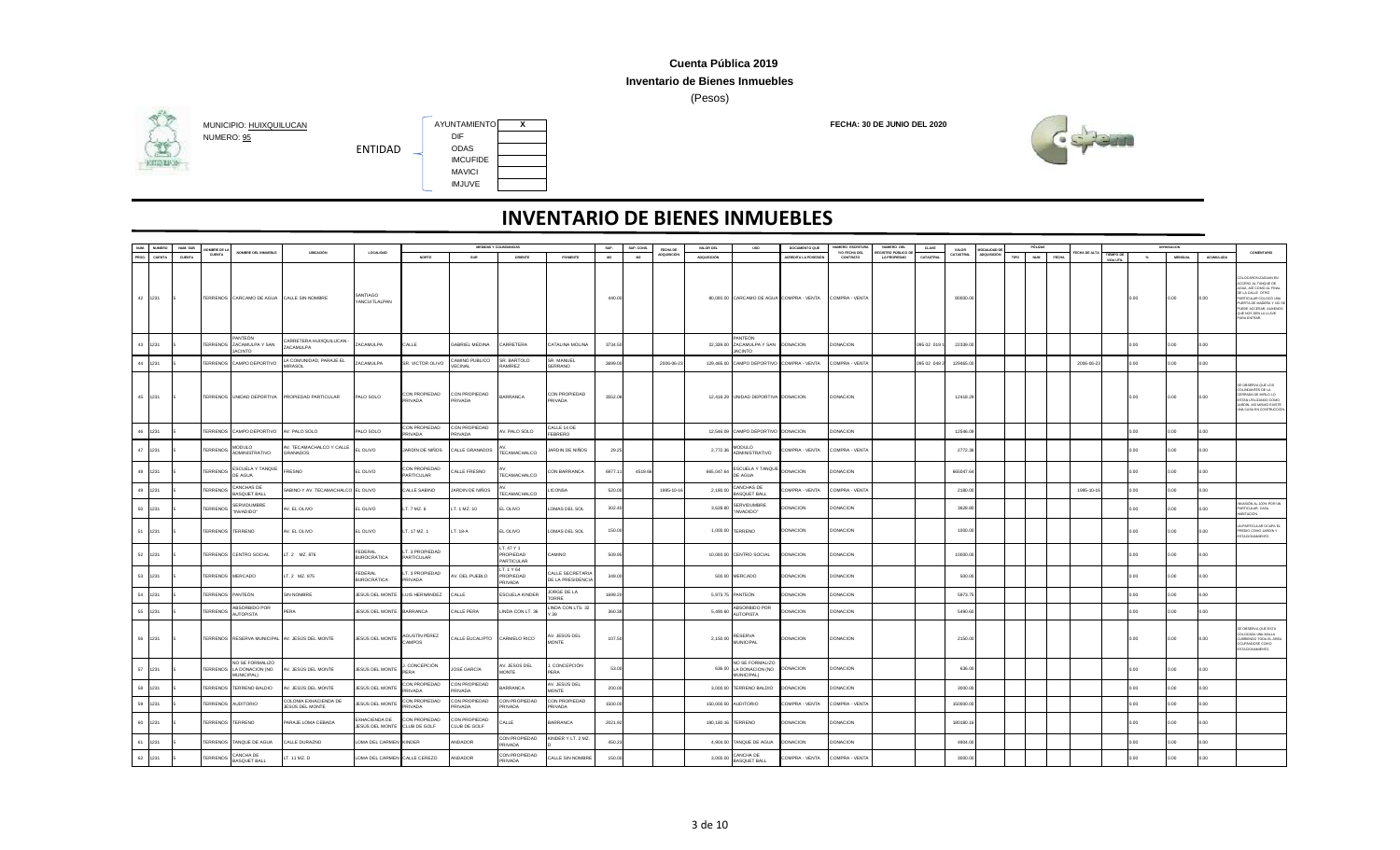### **Inventario de Bienes Inmuebles**

(Pesos)



## **HITGHING**



| NUM. | NUMERO  | NUM, SUE      | MRRF DE L              |                                                           |                                                |                                      |                                     |                               | MEDIDAS Y COLINDANCIAS                   |                                       | SUP.    | SUP, CONS | FECHA DE           | VALOR DEL          | <b>USO</b>                                                       | DOCUMENTO QUE       | NUMERO ESCRITUR           | NUMERO DEL                        | CLAVE      | VALOR     | ODALIDAD D         |      | PÓLIZAS             |             |                        |               | DEPRESACION    |                  |                                                                                                                                                                                                                     |
|------|---------|---------------|------------------------|-----------------------------------------------------------|------------------------------------------------|--------------------------------------|-------------------------------------|-------------------------------|------------------------------------------|---------------------------------------|---------|-----------|--------------------|--------------------|------------------------------------------------------------------|---------------------|---------------------------|-----------------------------------|------------|-----------|--------------------|------|---------------------|-------------|------------------------|---------------|----------------|------------------|---------------------------------------------------------------------------------------------------------------------------------------------------------------------------------------------------------------------|
|      | CUENTA  | <b>CUENTA</b> | <b>CUENTA</b>          | OMBRE DEL INMUEBLE                                        | UBICACIÓN                                      | LOCALIDAD                            | <b>NORTE</b>                        | SUR                           | ORIENTE                                  | PONENTE                               | M2      | M2        | <b>ADQUISICIÓN</b> | <b>ADQUISICIÓN</b> |                                                                  | ACREDITA LA POSESIÓ | Y/O FECHA DEL<br>CONTRATO | GISTRO PÚBLICO DI<br>LA PROPIEDAD | CATASTRAL  | CATASTRAL | <b>ADQUISICIÓN</b> | TIPO | NUM<br><b>FECHA</b> | ECHA DE ALT | TIEMPO DE<br>VIDA UTIL | $N_{\bullet}$ | <b>MENSUAL</b> | <b>ACUMULADA</b> | COMENTARIO                                                                                                                                                                                                          |
|      | 42 1231 |               |                        | TERRENOS CARCAMO DE AGUA                                  | CALLE SIN NOMBRE                               | SANTIAGO<br>YANCUITLALPAN            |                                     |                               |                                          |                                       | 440.00  |           |                    |                    | 80,000.00 CARCAMO DE AGUA COMPRA - VENTA                         |                     | COMPRA - VENTA            |                                   |            | 80000.00  |                    |      |                     |             |                        | 0.00.         | 0.00           | 0.00             | <b>DLOCARON ZAGUAN EN</b><br>CCESO AL TANQUE DE<br>GUA, ASÍ COMO AL FINA<br>E LA CALLE OTRO<br>ARTICULAR COLOCÓ UN<br>PLERTA DE MADERA Y NO 5<br>PUEDE ACCESAR, ALMENOS<br>QUE NOS DEN LA LLAVE<br><b>RA ENTRAS</b> |
| 43   | 1231    |               | <b>TERRENOS</b>        | ANTEÓN<br>ZACAMULPA Y SAN<br><b>ACINTO</b>                | ARRETERA HUIXQUILUCAN -<br>ZACAMULPA           | ZACAMULPA                            | CALLE                               | <b>GABRIEL MEDINA</b>         | <b>ARRETERA</b>                          | CATALINA MOLINA                       | 3734.5  |           |                    |                    | PANTEÓN<br>22,339.00 ZACAMULPA Y SAN DONACION<br>JACINTO         |                     | DONACION                  |                                   | 095 02 019 | 22339.0   |                    |      |                     |             |                        | n n           | n nn           | n nn             |                                                                                                                                                                                                                     |
| 44   | 1231    |               |                        | TERRENOS CAMPO DEPORTIVO                                  | LA COMUNIDAD, PARAJE EL<br><b>IRASOL</b>       | ZACAMULPA                            | SR. VICTOR OLIVO                    | CAMINO PUBLICO<br>VECINAL     | SR. BARTOLO<br><b>AMÍREZ</b>             | SR. MANUEL<br>SERRANO                 | 3699.00 |           | 2006-06-2          |                    | 129,465.00 CAMPO DEPORTIVO COMPRA - VENTA                        |                     | COMPRA - VENTA            |                                   | 095 02 048 | 129465.0  |                    |      |                     | 2006-06-23  |                        | 2.00          | n nn           | n nn             |                                                                                                                                                                                                                     |
|      | 45 1231 |               |                        | TERRENOS UNIDAD DEPORTIVA                                 | PROPIEDAD PARTICULAR                           | PALO SOLO                            | CON PROPIEDAD<br>PRIVADA            | CON PROPIEDAD<br>PRIVADA      | <b>BARRANCA</b>                          | CON PROPIEDAD<br>PRIVADA              | 3552.08 |           |                    |                    | 12,418.29 UNIDAD DEPORTIVA DONACION                              |                     | DONACION                  |                                   |            | 12418.29  |                    |      |                     |             |                        | 2.00          | 0.00           | 0.00             | E OBSERVA QUE LOS<br>COLINDANTES DE LA<br>RRADA DE MIRLO LO<br>STÁN UTILIZANDO COMO<br>ARDÍN, ASÍ MISMO EXISTE<br><b>INA CASA EN CONTRUCCIÓ</b>                                                                     |
| 46   | 1231    |               |                        | TERRENOS CAMPO DEPORTIVO                                  | AV. PALO SOLO                                  | PALO SOLO                            | ON PROPIEDAD<br>RIVADA              | CON PROPIEDAD<br>PRIVADA      | V. PALO SOLO                             | CALLE 14 DE<br>FFRRERO                |         |           |                    |                    | 12,546.09 CAMPO DEPORTIVO DONACION                               |                     | DONACION                  |                                   |            | 12546.0   |                    |      |                     |             |                        | n nn          | n nn           | n nn             |                                                                                                                                                                                                                     |
|      | 47 1231 |               | <b>TERRENOS</b>        | <b>MODULO</b><br>ADMINISTRATIVO                           | AV. TECAMACHALCO Y CALLE<br>GRANADOS           | EL OLIVO                             | JARDÍN DE NIÑOS                     | CALLE GRANADOS                | TECAMACHALCO                             | ARDIN DE NIÑOS                        | 29.25   |           |                    | 2,772.36           | <b>MODULO</b><br>ADMINISTRATIVO                                  | COMPRA - VENTA      | COMPRA - VENTA            |                                   |            | 2772.36   |                    |      |                     |             |                        | 0.00          | 0.00           | o oo             |                                                                                                                                                                                                                     |
| 48   | 1231    |               | <b>TERRENOS</b>        | <b>ESCUELA Y TANQUE</b><br>DE AGUA                        | FRESNO                                         | EL OLIVO                             | CON PROPIEDAD<br>ARTICULAR          | ALLE FRESNO                   | <b>FECAMACHALCO</b>                      | CON BARRANCA                          | 6977.1  | 4519.6    |                    | 665,047.64         | ESCUELA Y TANQUE<br>DE AGUA                                      | <b>DONACION</b>     | DONACION                  |                                   |            | 665047.64 |                    |      |                     |             |                        | n n           | n nn           | n nn             |                                                                                                                                                                                                                     |
| 49   | 1231    |               | <b>TERRENOS</b>        | ANCHAS DE<br>BASQUET BALL                                 | SABINO Y AV. TECAMACHALCO EL OLIVO             |                                      | ALLE SABINO                         | ARDIN DE NIÑOS                | <b>FECAMACHALCO</b>                      | <b>ICONSA</b>                         | 520.00  |           | 1995-10-1          | 2,180.00           | CANCHAS DE<br><b>BASQUET BALL</b>                                | COMPRA - VENTA      | COMPRA - VENTA            |                                   |            | 2180.00   |                    |      |                     | 1995-10-16  |                        |               |                |                  |                                                                                                                                                                                                                     |
| 50   | 1231    |               | <b><i>TERRENOS</i></b> | ERVIDUMBRE<br>"INVADIDO"                                  | V. EL OLIVO                                    | EL OLIVO                             | T. 7 MZ. 6                          | T. 1 MZ. 10                   | EL OLIVO                                 | OMAS DEL SOL                          | 302.40  |           |                    | 3,628.80           | SERVIDUMBRE<br>"INVADIDO"                                        | DONACION            | <b>JONACION</b>           |                                   |            | 3628.8    |                    |      |                     |             |                        |               |                | 0.00             | WASIÓN AL 100% POR UN<br>ARTICULAR, CASA<br><b>BITACIÓN</b>                                                                                                                                                         |
|      | 51 1231 |               | TERRENOS TERRENO       |                                                           | V. EL OLIVO                                    | EL OLIVO                             | T. 17 MZ. 1                         | LT. 18-A                      | EL OLIVO                                 | OMAS DEL SOL                          | 150.00  |           |                    |                    | 1,000.00 TERRENO                                                 | <b>DONACION</b>     | <b>DONACION</b>           |                                   |            | 1000.00   |                    |      |                     |             |                        | 0.00.         | 0.00           | 0.00             | PARTICULAR OCUPA E<br>REDIO COMO JARDÍN Y<br>STACIONAMIENTO.                                                                                                                                                        |
| 52   | 1231    |               |                        | TERRENOS CENTRO SOCIAL                                    | T. 2 MZ. 876                                   | FEDERAL<br>BUROCRÁTICA               | T. 3 PROPIEDAD<br><b>PARTICULAR</b> |                               | LT. 47 Y 1<br>PROPIEDAD<br>PARTICULAR    | <b>OMINA:</b>                         | 509.95  |           |                    |                    | 10,000.00 CENTRO SOCIAL                                          | DONACION            | <b>JONACION</b>           |                                   |            | 10000.00  |                    |      |                     |             |                        | 2.00          | n nn           | o oo             |                                                                                                                                                                                                                     |
|      | 53 1231 |               | TERRENOS MERCADO       |                                                           | T. 2 MZ. 875                                   | <b>FFDFRAL</b><br><b>BUROCRÁTICA</b> | T. 3 PROPIEDAD<br>RIVADA            | AV. DEL PUEBLO                | LT. 1 Y 64<br>PROPIEDAD<br><b>RIVADA</b> | CALLE SECRETARIA<br>DE LA PRESIDENCIA | 349.00  |           |                    |                    | 500.00 MERCADO                                                   | <b>DONACION</b>     | DONACION                  |                                   |            | 500.00    |                    |      |                     |             |                        | 0.00          | 0.00           | o oo             |                                                                                                                                                                                                                     |
| 54   | 1231    |               | TERRENOS PANTEÓN       |                                                           | <b>SIN NOMBRE</b>                              | JESÚS DEL MONTE                      | LUIS HERNÁNDEZ                      | CALLE                         | <b>SCUELA KINDER</b>                     | JORGE DE LA<br><b>TORRE</b>           | 1699.20 |           |                    |                    | 5,973.75 PANTEÓN                                                 | DONACION            | <b>ONACION</b>            |                                   |            | 5973.7    |                    |      |                     |             |                        |               | n nn           | 0.00             |                                                                                                                                                                                                                     |
| 55   | 1231    |               | <b>TERRENOS</b>        | ABSORBIDO POR<br><b>AUTOPISTA</b>                         | PERA                                           | JESÚS DEL MONTE BARRANCA             |                                     | ALLE PERA                     | INDA CON LT. 36                          | LINDA CON LTS. 32                     | 360.38  |           |                    | 5,490.60           | ABSORBIDO POR<br><b>AUTOPISTA</b>                                | <b>DONACION</b>     | <b>ONACION</b>            |                                   |            | 5490.60   |                    |      |                     |             |                        |               |                |                  |                                                                                                                                                                                                                     |
|      | 56 1231 |               |                        |                                                           | TERRENOS RESERVA MUNICIPAL AV. JESÚS DEL MONTE | JESÚS DEL MONTE                      | <b>\GUSTÍN PÉREZ</b><br>CAMPOS      | CALLE EUCALIPTO               | CARMELO RICO                             | V. JESÚS DEL<br><b>MONTE</b>          | 107.50  |           |                    |                    | 2,150.00 RESERVA                                                 | <b>DONACION</b>     | <b>DONACION</b>           |                                   |            | 2150.00   |                    |      |                     |             |                        | 0.00          | 0.00           | 0.00             | OBSERVA QUE ESTA<br><b>COLOCADA UNA MALLA</b><br><b>UBRIENDO TODA EL ÁRE</b><br>CUPANDOSE COMO<br><b>FACIONAMIENTO</b>                                                                                              |
| 57   | 1231    |               |                        | NO SE FORMALIZO<br>TERRENOS LA DONACION (NO<br>IUNICIPAL) | AV. JESÚS DEL MONTE                            | JESÚS DEL MONTE                      | CONCEPCIÓN<br><b>ERA</b>            | JOSÉ GARCÍA                   | V. JESÚS DEL<br><b>MONTE</b>             | J. CONCEPCIÓN<br>PERA                 | 53.00   |           |                    |                    | NO SE FORMALIZO<br>636.00 LA DONACION (NO DONACION<br>MUNICIPAL) |                     | DONACION                  |                                   |            | 636.00    |                    |      |                     |             |                        | 0.00          | 0.00           | 0.00             |                                                                                                                                                                                                                     |
|      | 58 1231 |               |                        | <b>TERRENOS TERRENO BALDIO</b>                            | V. JESÚS DEL MONTE                             | JESÚS DEL MONTE                      | CON PROPIEDAD<br>RIVADA             | CON PROPIEDAD<br>PRIVADA      | ARRANCA                                  | AV. JESÚS DEL<br><b>MONTE</b>         | 200.00  |           |                    |                    | 3,000.00 TERRENO BALDIO                                          | <b>DONACION</b>     | DONACION                  |                                   |            | 3000.00   |                    |      |                     |             |                        |               |                | o oo             |                                                                                                                                                                                                                     |
| 59   | 1231    |               |                        | ERRENOS AUDITORIO                                         | COLONIA EXHACIENDA DE<br>IESÚS DEL MONTE       | JESÚS DEL MONTE                      | CON PROPIEDAD<br>RIVADA             | CON PROPIEDAD<br>RIVADA       | CON PROPIEDAD<br><b>RIVADA</b>           | CON PROPIEDAD.<br>AGAVIS              | 1500.00 |           |                    |                    | 150,000.00 AUDITORIO                                             | COMPRA - VENTA      | COMPRA - VENTA            |                                   |            | 150000.00 |                    |      |                     |             |                        |               |                |                  |                                                                                                                                                                                                                     |
| 60   | 1231    |               | TERRENOS TERRENO       |                                                           | PARAJE LOMA CEBADA                             | EXHACIENDA DE<br>JESÚS DEL MONTE     | CON PROPIEDAD<br>CLUB DE GOLF       | CON PROPIEDAD<br>CLUB DE GOLF | CALLE                                    | <b>BARRANCA</b>                       | 2021.92 |           |                    | 180,180.16 TERRENO |                                                                  | <b>DONACION</b>     | DONACION                  |                                   |            | 180180.1  |                    |      |                     |             |                        | 0.00          | 0.00           | o oo             |                                                                                                                                                                                                                     |
|      | 61 1231 |               | <b>TERRENOS</b>        | TANQUE DE AGUA                                            | ALLE DURAZNO                                   | LOMA DEL CARMEN KINDER               |                                     | MDADOR                        | CON PROPIEDAD<br><b>RIVADA</b>           | KINDER Y LT. 2 MZ                     | 450.23  |           |                    |                    | 4,904.00 TANQUE DE AGUA                                          | <b>DONACION</b>     | DONACION                  |                                   |            | 4904.00   |                    |      |                     |             |                        |               | n nn           | 0.00             |                                                                                                                                                                                                                     |
|      | 62 1231 |               | <b>TERRENOS</b>        | ANCHA DE<br>BASQUET BALL                                  | T. 11 MZ. D                                    | LOMA DEL CARMEN CALLE CEREZO         |                                     | ANDADOR                       | CON PROPIEDAD<br><b>RIVADA</b>           | CALLE SIN NOMBRE                      | 150.00  |           |                    | 3,000.00           | CANCHA DE<br><b>BASQUET BALL</b>                                 | COMPRA - VENTA      | COMPRA - VENTA            |                                   |            | 3000.00   |                    |      |                     |             |                        |               |                |                  |                                                                                                                                                                                                                     |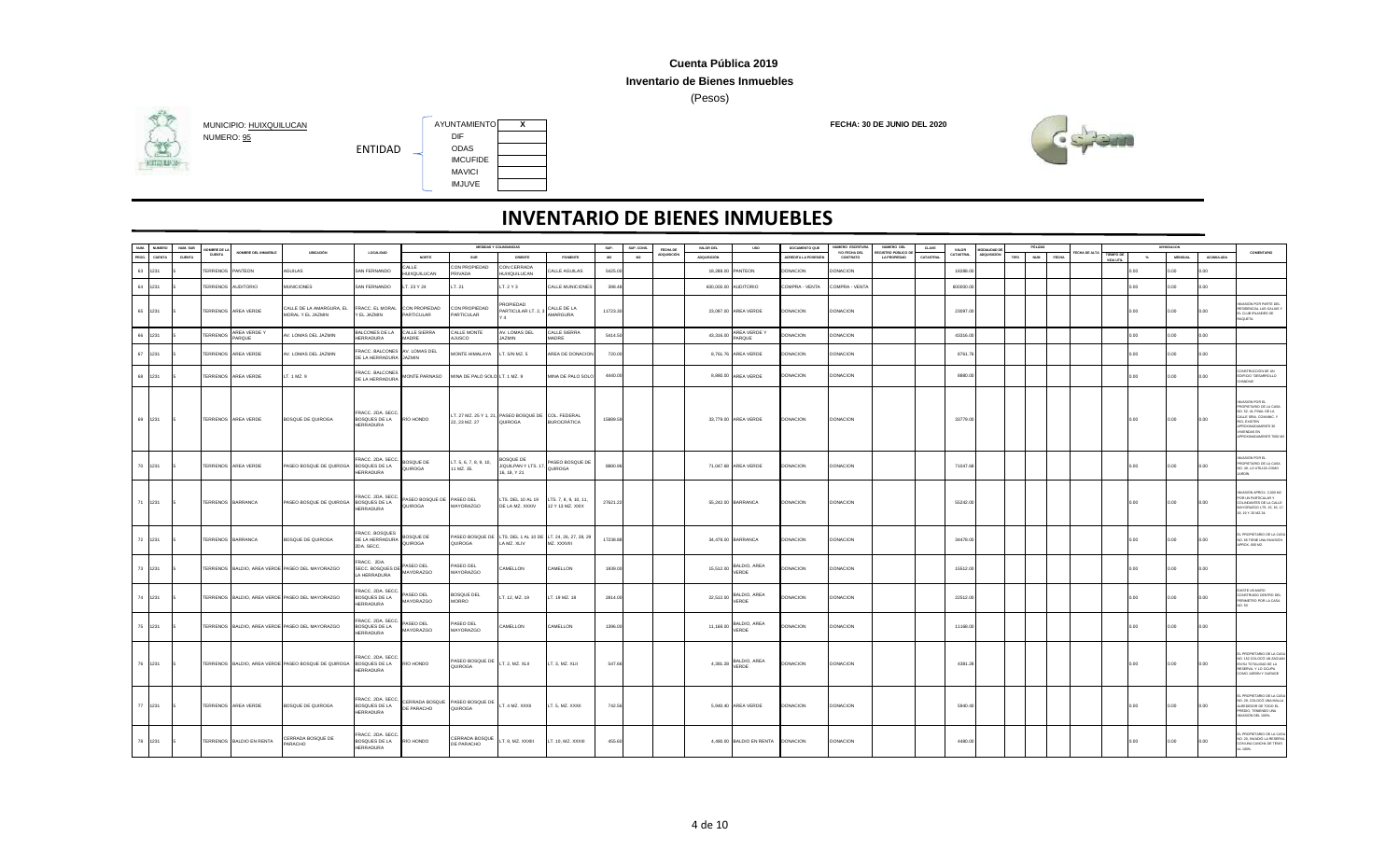### **Inventario de Bienes Inmuebles**

(Pesos)



## **HITGHING**

MUNICIPIO: <u>HUIXQUILUCAN</u><br>NUMERO: <u>95</u><br>NUMERO: <u>95</u> NUMERO: <u>95</u> DIF<br>
FNTIDAD ODAS ENTIDAD IMCUFIDE MAVICI IMJUVE

| NUM. | <b>NUMERO</b> | NUM, SUB      | MBRE DE L         |                          |                                                     |                                                        |                                      |                                           | MEDIDAS Y COLINDANCIAS                                                    |                                          | SUP.     | SUP. CONS. | FECHA DE           | VALOR DEL          | <b>USO</b>               | DOCUMENTO QUE       | NUMERO ESCRITURA          | NUMERO DEL                               | CLAVE     | VALOR     | <b>ODALIDAD</b> |      | PÓLIZA              |            |                        |          | <b>DEPRESADON</b> |                  |                                                                                                                                                                             |
|------|---------------|---------------|-------------------|--------------------------|-----------------------------------------------------|--------------------------------------------------------|--------------------------------------|-------------------------------------------|---------------------------------------------------------------------------|------------------------------------------|----------|------------|--------------------|--------------------|--------------------------|---------------------|---------------------------|------------------------------------------|-----------|-----------|-----------------|------|---------------------|------------|------------------------|----------|-------------------|------------------|-----------------------------------------------------------------------------------------------------------------------------------------------------------------------------|
| PROG | CUENTA        | <b>CUENTA</b> | CUENTA            | OMBRE DEL INMUEBLE       | UBICACIÓN                                           | LOCALIDAD                                              | <b>NORTE</b>                         | SUR                                       | ORIENTE                                                                   | PONENTE                                  | M2       | M2         | <b>ADQUISICIÓN</b> | <b>ADQUISICIÓN</b> |                          | ACREDITA LA POSESIÓ | Y/O FECHA DEL<br>CONTRATO | GISTRO PÚBLICO DE<br><b>LA PROPIEDAD</b> | CATASTRAL | CATASTRAL | ADQUISICIÓN     | TIPO | NUM<br><b>FECHA</b> | CHA DE ALT | TIEMPO DE<br>VIDA UTIL | $-26$    | <b>MENSUAL</b>    | <b>ACUMULADA</b> | COMENTARIO                                                                                                                                                                  |
| 63   | 1231          |               | <b>ERRENOS</b>    | PANTEON                  | AGUILAS                                             | SAN FERNANDO                                           | ALLE<br>HUIXQUILUCAN                 | CON PROPIEDAD<br><b>RIVADA</b>            | CON CERRADA<br>HUIXQUILUCAN                                               | ALLE AGUILAS                             | 5425.00  |            |                    |                    | 18,288.00 PANTEON        | DONACION            | <b>ONACION</b>            |                                          |           | 18288.0   |                 |      |                     |            |                        | 2.00     | n nn              | n nn             |                                                                                                                                                                             |
| 64   | 1231          |               | TERRENOS          | <b>AUDITORIO</b>         | <b>MUNICIONES</b>                                   | SAN FERNANDO                                           | LT. 23 Y 24                          | LT. 21                                    | LT. 2 Y 3                                                                 | ALLE MUNICIONES                          | 398.48   |            |                    | 600,000.00         | <b>AUDITORIO</b>         | COMPRA - VENTA      | COMPRA - VENTA            |                                          |           | 600000.0  |                 |      |                     |            |                        | 0.00     | n nn              | 0.00             |                                                                                                                                                                             |
|      |               |               |                   |                          |                                                     |                                                        |                                      |                                           |                                                                           |                                          |          |            |                    |                    |                          |                     |                           |                                          |           |           |                 |      |                     |            |                        |          |                   |                  |                                                                                                                                                                             |
|      | 65 1231       |               |                   | TERRENOS AREA VERDE      | CALLE DE LA AMARGURA, EL<br>MORAL Y EL JAZMIN       | FRACC. EL MORAL<br>Y EL JAZMIN                         | CON PROPIEDAD<br>PARTICULAR          | CON PROPIEDAD<br>PARTICULAR               | PROPIEDAD<br>PARTICULAR LT. 2, 3                                          | CALLE DE LA<br>AMARGURA                  | 11723.30 |            |                    |                    | 23,097.00 AREA VERDE     | DONACION            | DONACION                  |                                          |           | 23097.0   |                 |      |                     |            |                        | 0.00     | 0.00              | 0.00             | ASIÓN POR PARTE DE<br>ESIDENCIAL LAS GALIAS Y<br>CLUB IRLANDES DE<br><b>IQUETA</b>                                                                                          |
|      | 66 1231       |               | <b>TERRENOS</b>   | AREA VERDE Y<br>PARQUE   | AV. LOMAS DEL JAZMIN                                | BALCONES DE LA<br>HERRADURA                            | CALLE SIERRA<br>MADRE                | CALLE MONTE<br><b>JUSCO</b>               | V. LOMAS DEL<br><b>JAZMIN</b>                                             | CALLE SIERRA<br>MADRE                    | 5414.50  |            |                    | 43,316.00          | AREA VERDE Y<br>PARQUE   | DONACION            | DONACION                  |                                          |           | 43316.00  |                 |      |                     |            |                        | 0.00     | 0.00              | 0.00             |                                                                                                                                                                             |
| 67   | 1231          |               | <b>ERRENOS</b>    | AREA VERDE               | AV. LOMAS DEL JAZMIN                                | FRACC. BALCONES AV. LOMAS DEL<br>DE LA HERRADURA       | JAZMIN                               | <b><i>IONTE HIMALAYA</i></b>              | T. S/N MZ. 5                                                              | AREA DE DONACION                         | 720.0    |            |                    |                    | 8,761.76 AREA VERDE      | DONACION            | DONACION                  |                                          |           | 8761.7    |                 |      |                     |            |                        | $0.00 -$ | 0.00              | 0.00             |                                                                                                                                                                             |
|      | 68 1231       |               |                   | TERRENOS AREA VERDE      | T. 1 MZ. 9                                          | FRACC. BALCONES<br>DE LA HERRADURA                     | MONTE PARNASO                        | MINA DE PALO SOLO LT. 1 MZ. 9             |                                                                           | MINA DE PALO SOLO                        | 4440.00  |            |                    |                    | 8,880.00 AREA VERDE      | DONACION            | <b>DONACION</b>           |                                          |           | 8880 Q    |                 |      |                     |            |                        | 0.00     | 0.00              | 0.00             | ONSTRUCCIÓN DE UN<br>EDIFICIO "DESARROLLO<br>"ANONH"                                                                                                                        |
|      | 69 1231       |               |                   | TERRENOS AREA VERDE      | <b>BOSQUE DE QUIROGA</b>                            | FRACC. 2DA. SECC.<br>BOSQUES DE LA<br><b>HERRADURA</b> | RÍO HONDO                            | 22, 23 MZ. 27                             | LT. 27 MZ. 25 Y 1, 21, PASEO BOSQUE DE COL. FEDERAL<br>QUIROGA            | <b>BUROCRÁTICA</b>                       | 15889.59 |            |                    |                    | 33,779.00 AREA VERDE     | <b>DONACION</b>     | <b>DONACION</b>           |                                          |           | 33779.00  |                 |      |                     |            |                        | 0.00     | 0.00              | 0.00             | NVASIÓN POR EL<br>ROPIETARIO DE LA CASA<br>NO. 52. AL FINAL DE LA<br>ALLE SRIA, COMUNC. 1<br>RIO, EXISTEN<br><b>ROXIMADAMENTE 30</b><br>IVIENDAS EN<br>ROXIMADAMENTE 7000 M |
|      | 70 1231       |               |                   | TERRENOS AREA VERDE      | PASEO BOSQUE DE QUIROGA                             | FRACC. 2DA. SECC<br>BOSQUES DE LA<br>HERRADURA         | BOSQUE DE<br>QUIROGA                 | LT. 5, 6, 7, 8, 9, 10,<br>1 MZ. 35.       | BOSQUE DE<br>JIQUILPAN Y LTS. 1<br>16, 18, Y 21                           | ASEO BOSQUE DE<br><b>UIROGA</b>          | 8880.9   |            |                    |                    | 71,047.68 AREA VERDE     | <b>DONACION</b>     | DONACION                  |                                          |           | 71047.6   |                 |      |                     |            |                        | $0.00 -$ | 0.00              | 0.00             | WASIÓN POR EL<br>PROPIETARIO DE LA CASA<br>NO. 49, LO UTILIZA COMO<br>ARDÍN                                                                                                 |
|      | 71 1231       |               | TERRENOS BARRANCA |                          | PASEO BOSQUE DE QUIROGA                             | FRACC. 2DA. SECC<br>BOSQUES DE LA<br><b>HERRADURA</b>  | PASEO BOSQUE DE PASEO DEL<br>QUIROGA | MAYORAZGO                                 | LTS. DEL 10 AL 19<br>DE LA MZ. XXXIV                                      | LTS. 7, 8, 9, 10, 11<br>12 Y 13 MZ. XXIX | 27621.22 |            |                    |                    | 55,242.00 BARRANCA       | <b>DONACION</b>     | <b>DONACION</b>           |                                          |           | 55242.00  |                 |      |                     |            |                        | 0.00     | 0.00              | 0.00             | MASIÓN APROX. 2,000 M<br>POR UN PARTICULAR Y<br>COLINDANTES DE LA CALL<br>AYORAZGO LTS. 15, 16, 17<br>8, 19 Y 20 MZ 34.                                                     |
|      | 72 1231       |               | TERRENOS BARRANCA |                          | BOSQUE DE QUIROGA                                   | FRACC. BOSQUES<br>DE LA HERRADURA<br>2DA. SECC.        | BOSQUE DE<br>QUIROGA                 | QUIROGA                                   | PASEO BOSQUE DE LTS. DEL 1 AL 10 DE LT. 24, 26, 27, 28, 29<br>LA MZ. XLIV | MZ. XXXVIII                              | 17238.88 |            |                    |                    | 34,478.00 BARRANCA       | <b>DONACION</b>     | <b>DONACION</b>           |                                          |           | 34478.00  |                 |      |                     |            |                        | 0.00     | 0.00              | 0.00             | LPROPIETARIO DE LA CI<br>NO. 65 TIENE UNA INVASIÓN<br>PROX. 600 M2.                                                                                                         |
|      | 73 1231       |               |                   |                          | TERRENOS BALDIO, AREA VERDE PASEO DEL MAYORAZGO     | FRACC. 2DA.<br>SECC. BOSQUES DE<br>LA HERRADURA        | PASEO DEL<br>MAYORAZGO               | PASEO DEL<br>MAYORAZGO                    | <b>CAMELLON</b>                                                           | CAMELLON                                 | 1939.00  |            |                    | 15,512.00          | BALDIO, AREA<br>VERDE    | DONACION            | <b>DONACION</b>           |                                          |           | 15512.00  |                 |      |                     |            |                        | 0.00.    | 0.00              | 0.00             |                                                                                                                                                                             |
|      | 74 1231       |               |                   |                          | TERRENOS BALDIO, AREA VERDE PASEO DEL MAYORAZGO     | RACC. 2DA. SECC.<br>BOSQUES DE LA<br>HERRADURA         | ASEO DEL<br>MAYORAZGO                | BOSQUE DEL<br><b>MORRO</b>                | T. 12, MZ. 19                                                             | LT. 19 MZ. 18                            | 2814.00  |            |                    | 22,512.00          | BALDIO, AREA<br>VERDE    | DONACION            | <b>DONACION</b>           |                                          |           | 22512.0   |                 |      |                     |            |                        | 0.00.    | 0.00              | 0.00             | <b>EXISTE UN MURO</b><br>CONSTRUIDO DENTRO DE<br><b>ERIMETRO POR LA CASA</b><br>0.50                                                                                        |
|      | 75 1231       |               |                   |                          | TERRENOS BALDIO, AREA VERDE PASEO DEL MAYORAZGO     | FRACC. 2DA. SECC<br>BOSQUES DE LA<br><b>HERRADURA</b>  | PASEO DEL<br>MAYORAZGO               | PASEO DEL<br>MAYORAZGO                    | <b>AMELLON</b>                                                            | CAMELLON                                 | 1396.00  |            |                    | 11,168.00          | BALDIO, AREA<br>VERDE    | DONACION            | <b>DONACION</b>           |                                          |           | 11168.0   |                 |      |                     |            |                        | 0.00     | 0.00              | 0.00             |                                                                                                                                                                             |
|      | 76 1231       |               |                   |                          | TERRENOS BALDIO, AREA VERDE PASEO BOSQUE DE QUIROGA | RACC. 2DA. SECC.<br>BOSQUES DE LA<br><b>HERRADURA</b>  | RÍO HONDO                            | PASEO BOSQUE DE<br>QUIROGA                | LT. 2, MZ. XLII                                                           | LT. 3, MZ. XLII                          | 547.66   |            |                    | 4.381.28           | BALDIO, AREA<br>VERDE    | <b>DONACION</b>     | <b>DONACION</b>           |                                          |           | 4381.28   |                 |      |                     |            |                        | 0.00     | 0.00              | 0.00             | PROPIETARIO DE LA CA<br>40 152 COLOCÓ LIN ZAGLIA<br>EN SU TOTALIDAD DE LA<br>RESERVA, Y LO OCUPA<br>COMO JARDÍN Y GARAGE                                                    |
|      | 77 1231       |               |                   | TERRENOS AREA VERDE      | BOSQUE DE QUIROGA                                   | FRACC. 2DA. SECC.<br>BOSQUES DE LA<br><b>HERRADURA</b> | DE PARACHO                           | CERRADA BOSQUE PASEO BOSQUE DE<br>QUIROGA | LT. 4 MZ. XXXII                                                           | LT. 5, MZ. XXXII                         | 742.56   |            |                    |                    | 5,940.40 AREA VERDE      | <b>DONACION</b>     | <b>DONACION</b>           |                                          |           | 5940.40   |                 |      |                     |            |                        | 0.00     | 0.00              | 0.00             | L PROPIETARIO DE LA C<br>NO. 29, COLOCÓ UNA MALL<br><b>LREDEDOR DE TODO EL</b><br>REDIO, TENENDO UNA<br>NVASIÓN DEL 100%.                                                   |
|      | 78 1231       |               |                   | TERRENOS BALDIO EN RENTA | CERRADA BOSQUE DE<br>PARACHO                        | RACC. 2DA. SECC<br>BOSQUES DE LA<br><b>HERRADURA</b>   | RÍO HONDO                            | CERRADA BOSQUE<br>DE PARACHO              | T. 9, MZ. XXXIII                                                          | LT. 10, MZ. XXXIII                       | 455.60   |            |                    |                    | 4,480.00 BALDIO EN RENTA | <b>DONACION</b>     | <b>DONACION</b>           |                                          |           | 4480.00   |                 |      |                     |            |                        | 0.00     | 0.00              | 0.00             | L PROPIETARIO DE LA CA<br>NO. 20. INVADIÓ LA RESERVI<br>CON UNA CANCHA DE TENS<br>100%                                                                                      |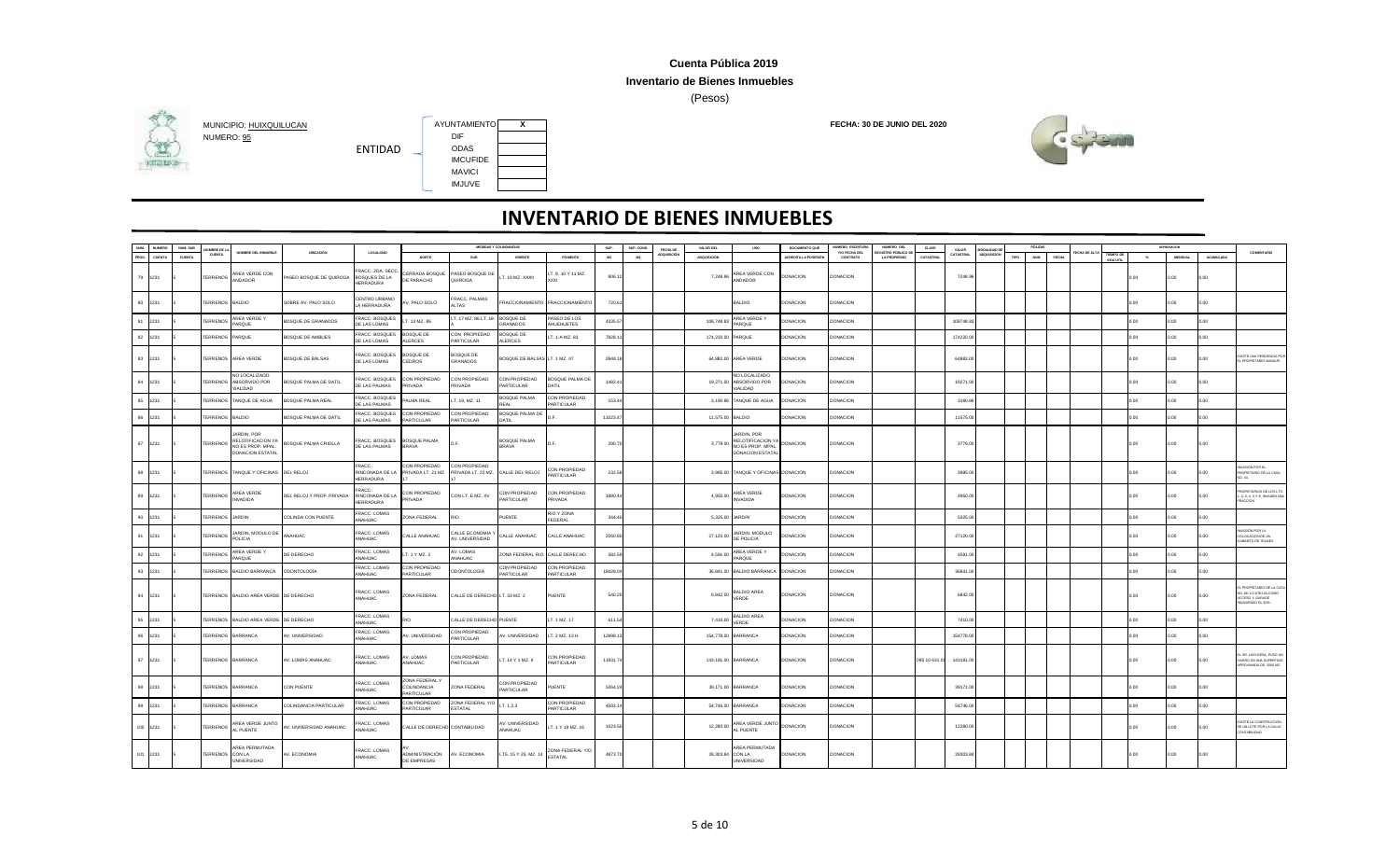### **Inventario de Bienes Inmuebles**

(Pesos)



**HITGHING** 



ENTIDAD

| NUM.<br><b>NUMERO</b> | NUM, SUB | OMBRE DE LA              |                                                                               |                           |                                               |                                                 |                                     | MEDIDAS Y COLINDANCIAS              |                             | SUP.     | SUP, CONS.     | FECHA DE           | VALOR DEL          | <b>USO</b>                                                                               | DOCUMENTO QUE       | <b>IUMERO ESCRITUR</b>    | NUMERO DEL                              | CLAVE        | VALOR     | <b>JODALIDAD DI</b> | PÓLIZAS            |       |            |                               |       |                |                  |                                                                                        |
|-----------------------|----------|--------------------------|-------------------------------------------------------------------------------|---------------------------|-----------------------------------------------|-------------------------------------------------|-------------------------------------|-------------------------------------|-----------------------------|----------|----------------|--------------------|--------------------|------------------------------------------------------------------------------------------|---------------------|---------------------------|-----------------------------------------|--------------|-----------|---------------------|--------------------|-------|------------|-------------------------------|-------|----------------|------------------|----------------------------------------------------------------------------------------|
| CUENTA                | CUENTA   | <b>CUENTA</b>            | NOMBRE DEL INMUEBLE                                                           | UBICACIÓN                 | LOCALIDAD                                     | NORTE                                           | SUR                                 | ORIENTE                             | PONENTE                     | M2       | M <sub>2</sub> | <b>ADQUISICIÓN</b> | <b>ADQUISICIÓN</b> |                                                                                          | ACREDITA LA POSESIÓ | Y/O FECHA DEL<br>CONTRATO | GISTRO PÚBLICO D<br><b>LA PROPIEDAD</b> | CATASTRAL    | CATASTRAL | ADQUISICIÓN         | <b>NUM</b><br>TIPO | FECHA | ECHA DE AL | <b>TIEMPO DE</b><br>VIDA ITTI | $-26$ | <b>MENSUAL</b> | <b>ACUMULADA</b> | COMENTARIO                                                                             |
| 79 1231               |          | TERRENOS                 | REA VERDE CON<br>ANDADOR                                                      | ASEO BOSQUE DE QUIROGA    | RACC. 2DA. SECO<br>BOSQUES DE LA<br>HERRADURA | ERRADA BOSQUE<br>E PARACHO                      | PASEO BOSQUE DE<br>QUIROGA          | T. 19 MZ. XXXII                     | T. 9, 10 Y 11 MZ.           | 906.1    |                |                    | 7,248.96           | AREA VERDE CON<br>ANDADOR                                                                | <b>DONACION</b>     | DONACION                  |                                         |              | 7248.9    |                     |                    |       |            |                               | 0.00  | 0.00           | 0.00             |                                                                                        |
| 80<br>1231            |          | <b>TERRENOS</b>          | BALDIO                                                                        | SOBRE AV. PALO SOLO       | CENTRO URBANO<br>A HERRADURA                  | V. PALO SOLO                                    | RACC. PALMAS<br><b>ALTAS</b>        | FRACCIONAMIENTO                     | FRACCIONAMIENTO             | 720.6    |                |                    |                    | <b>BALDIO</b>                                                                            | <b>DONACION</b>     | <b>DONACION</b>           |                                         |              |           |                     |                    |       |            |                               | 0.00  | 0.00           | 0.00             |                                                                                        |
| 81<br>1231            |          | <b>TERRENOS</b>          | AREA VERDE Y<br>ARQUE                                                         | OSQUE DE GRANADOS         | <b>RACC. BOSQUES</b><br><b>DE LAS LOMAS</b>   | T. 13 MZ. 86                                    | T. 17 MZ. 86 LT. 18                 | <b>BOSQUE DE</b><br><b>GRANADOS</b> | PASEO DE LOS<br>AHUEHUETES  | 4335.5   |                |                    | 108,748.83         | AREA VERDE Y<br>PARQUE                                                                   | <b>DONACION</b>     | DONACION                  |                                         |              | 108748.8  |                     |                    |       |            |                               | ) nn  | n nn           | n on             |                                                                                        |
| 82<br>1231            |          | FRRENOS                  | PARQUE                                                                        | BOSQUE DE AMBUES          | <b>RACC. BOSQUES</b><br>DE LAS LOMAS          | <b>IOSQUE DE</b><br>LERCES                      | CON PROPIEDAD<br><b>ARTICULAR</b>   | BOSQUE DE<br>ALERCES                | T. 1-A MZ. 83               | 7828.1   |                |                    | 174,220.00 PARQUE  |                                                                                          | <b>DONACION</b>     | DONACION                  |                                         |              | 174220.0  |                     |                    |       |            |                               | i ng  | n nn           | n on             |                                                                                        |
| 83<br>1231            |          | ERRENOS                  | AREA VERDE                                                                    | BOSQUE DE BALSAS          | RACC, BOSQUES<br>DE LAS LOMAS                 | BOSQUE DE<br><b>EDROS</b>                       | BOSQUE DE<br>GRANADOS               | BOSQUE DE BALSAS LT. 1 MZ. 47       |                             | 2949.1   |                |                    |                    | 64,882.00 AREA VERDE                                                                     | <b>DONACION</b>     | <b>DONACION</b>           |                                         |              | 64882.0   |                     |                    |       |            |                               | i ng  | 0.00           | 0.00             | <b>USTE UNA RESIDENCIA POR</b><br>L PROPIETARIO MANZUR.                                |
| 84<br>1231            |          | <b>TERRENOS</b>          | <b>IO LOCALIZADO</b><br>ABSORVIDO POR<br><b>JALIDAD</b>                       | BOSQUE PALMA DE DATIL     | RACC. BOSQUES<br>DE LAS PALMAS                | ON PROPIEDAD<br>RIVADA                          | CON PROPIEDAD<br><b>RIVADA</b>      | CON PROPIEDAD<br>PARTICULAR         | BOSQUE PALMA DE<br>DATIL    | 1482.4   |                |                    |                    | NO LOCALIZADO<br>19,271.00 ABSORVIDO POR<br>VIALIDAD                                     | DONACION            | DONACION                  |                                         |              | 19271.0   |                     |                    |       |            |                               | n n   | 0.00           | 0.00             |                                                                                        |
| 85<br>1231            |          | ERRENOS                  | TANQUE DE AGUA                                                                | OSQUE PALMA REAL          | <b>RACC. BOSQUES</b><br>DE LAS PALMAS         | LMA REAL                                        | T. 19, MZ. 11                       | BOSQUE PALMA<br><b>RFAI</b>         | CON PROPIEDAD<br>PARTICULAR | 153.4    |                |                    |                    | 3,190.86 TANQUE DE AGUA                                                                  | DONACION            | ONACION                   |                                         |              | 3190.8    |                     |                    |       |            |                               |       | 0.00           | 00               |                                                                                        |
| 86<br>1231            |          | ERRENOS                  | BALDIO                                                                        | BOSQUE PALMA DE DATIL     | FRACC. BOSQUES<br>DE LAS PALMAS               | ON PROPIEDAD<br><b>ARTICULAR</b>                | CON PROPIEDAD<br><b>PARTICULAR</b>  | BOSQUE PALMA DE<br>DATIL            |                             | 11023.47 |                |                    | 11,575.00 BALDIO   |                                                                                          | <b>DONACION</b>     | DONACION                  |                                         |              | 11575.00  |                     |                    |       |            |                               | 0.00  | 0.00           | 0.00             |                                                                                        |
| 87<br>1231            |          | <b>TERRENOS</b>          | ARDIN, POR<br>RELOTIFICACION Y<br>NO ES PROP. MPAL<br><b>DONACION ESTATAL</b> | BOSQUE PALMA CRIOLLA      | RACC. BOSQUES<br>DE LAS PALMAS                | BOSQUE PALMA<br><b>BRAVA</b>                    | D.F                                 | BOSQUE PALMA<br><b>BRAVA</b>        |                             | 290.7    |                |                    | 3.779.00           | <b>JARDIN POR</b><br>RELOTIFICACION <sup>*</sup><br>NO ES PROP. MPAL<br>DONACION ESTATAL | <b>DONACION</b>     | <b>DONACION</b>           |                                         |              | 3779.0    |                     |                    |       |            |                               | i ng  | 0.00           | n on             |                                                                                        |
| 88<br>1231            |          | TERRENOS                 | TANQUE Y OFICINAS                                                             | DEL RELOJ                 | FRACC.<br>RINCONADA DE LA<br><b>HERRADURA</b> | CON PROPIEDAD<br>PRIVADA LT. 21 MZ.             | CON PROPIEDAD<br>PRIVADA LT. 22 MZ. | CALLE DEL RELOJ                     | CON PROPIEDAD<br>PARTICULAR | 232.5    |                |                    |                    | 3,985.00 TANQUE Y OFICINAS DONACION                                                      |                     | DONACION                  |                                         |              | 3985.0    |                     |                    |       |            |                               | 0.00  | 0.00           | 0.00             | ASIÓN POR EL<br>ROPIETARIO DE LA CASA                                                  |
| 89<br>1231            |          | <b>TERRENOS</b>          | AREA VERDE<br><b>NVADIDA</b>                                                  | DEL RELOJ Y PROP. PRIVADA | FRACC.<br>RINCONADA DE LA<br>HERRADURA        | ON PROPIEDAD<br>RIVADA                          | CON LT. E MZ. XV                    | CON PROPIEDAD<br>PARTICULAR         | CON PROPIEDAD<br>PRIVADA    | 1880.4   |                |                    | 4,950.00           | AREA VERDE<br><b>INVADIDA</b>                                                            | <b>DONACION</b>     | <b>DONACION</b>           |                                         |              | 4950.0    |                     |                    |       |            |                               | 0.00  | 0.00           | 0.00             | OPIETARIOS DE LOS LTS<br>1, 2, 3, 4, 5 Y 8, INVADEN UNA<br>ACCIÓN.                     |
| 90<br>1231            |          | TERRENOS                 | <b>JARDIN</b>                                                                 | COLINDA CON PUENTE        | FRACC. LOMAS<br>ANAHUAC                       | ONA FEDERAL                                     | RIO                                 | PUENTE                              | RIO Y ZONA<br>FEDERAL       | 344.4    |                |                    | 5,325.00 JARDIN    |                                                                                          | DONACION            | DONACION                  |                                         |              | 5325.0    |                     |                    |       |            |                               | 0.00  | 0.00           | 0.00             |                                                                                        |
| 91<br>1231            |          | <b>TERRENOS</b>          | JARDIN, MODULO DE<br>POLICIA                                                  | ANAHLIAC                  | FRACC. LOMAS<br>ANAHUAC                       | ALLE ANAHUAC                                    | CALLE ECONOMIA<br>AV. UNIVERSIDAD   | CALLE ANAHUAC                       | ALLE ANAHUAC                | 2260.8   |                |                    | 27,120.00          | JARDIN, MODULO<br>DE POLICIA                                                             | <b>DONACION</b>     | <b>DONACION</b>           |                                         |              | 27120.0   |                     |                    |       |            |                               | ) OO  | n nn           | n on             | A LROS WORKA<br>OLOCACIÓN DE LIN<br>ABINETE DE TELMEX                                  |
| 92<br>1231            |          | <b>TERRENOS</b>          | AREA VERDE Y<br>PAROUF                                                        | DE DERECHO                | FRACC. LOMAS<br>OALIHANA                      | T. 1 Y MZ. 2                                    | AV. LOMAS<br>OALIHANA               | ZONA FEDERAL R                      | CALLE DERECHO               | 382.5    |                |                    | 4,591.0            | AREA VERDE Y<br>PAROUF                                                                   | DONACION            | <b>JONACION</b>           |                                         |              | 4591.0    |                     |                    |       |            |                               |       | 0.00           | LOC              |                                                                                        |
| 93<br>1231            |          | <b>TERRENOS</b>          | BALDIO BARRANCA                                                               | ODONTOLOGÍA               | <b>RACC. LOMAS</b><br>ANAHUAC                 | ON PROPIEDAD<br>ARTICULAR                       | <b>DDONTOLOGÍA</b>                  | CON PROPIEDAD<br>PARTICULAR         | CON PROPIEDAD<br>PARTICULAR | 18428.04 |                |                    |                    | 36,841.00 BALDIO BARRANCA                                                                | <b>DONACION</b>     | <b>ONACION</b>            |                                         |              | 36841.0   |                     |                    |       |            |                               | 0.00  | 0.00           | 0.00             |                                                                                        |
| 94<br>1231            |          |                          | TERRENOS BALDIO AREA VERDE DE DERECHO                                         |                           | FRACC. LOMAS<br>ANAHUAC                       | ZONA FEDERAL                                    | CALLE DE DERECHO LT. 33 MZ. 2       |                                     | PUENTE                      | 540.2    |                |                    | 6,842.00           | BALDIO AREA<br>VERDE                                                                     | <b>DONACION</b>     | <b>DONACION</b>           |                                         |              | 6842.0    |                     |                    |       |            |                               | 0.00  | 0.00           | 0.00             | PROPIETARIO DE LA CAS<br>NO. 66, LO UTILIZA COMO<br>CCESO Y GARAGE<br>VADIENDO EL 50%. |
| 95<br>1231            |          | ERRENOS                  | BALDIO AREA VERDE DE DERECHO                                                  |                           | FRACC. LOMAS<br>MAHUAC                        | m                                               | ALLE DE DERECHO PUENTE              |                                     | T. 1 MZ. 17                 | 611.54   |                |                    | 7,410.00           | BALDIO AREA<br>VERDE                                                                     | <b>DONACION</b>     | <b>JONACION</b>           |                                         |              | 7410.00   |                     |                    |       |            |                               |       | 0.00           | ) nn             |                                                                                        |
| 96<br>1231            |          | TERRENOS                 | <b>BARRANCA</b>                                                               | AV. UNIVERSIDAD           | FRACC. LOMAS<br>ANAHUAC                       | V. UNIVERSIDAD                                  | CON PROPIEDAD<br><b>PARTICULAR</b>  | W. UNIVERSIDAD                      | LT. 2 MZ. 13 H              | 12898.1  |                |                    |                    | 154,778.00 BARRANCA                                                                      | <b>DONACION</b>     | DONACION                  |                                         |              | 154778.0  |                     |                    |       |            |                               | ) nn  | n nn           | n on             |                                                                                        |
| 97 1231               |          | <b>TERRENOS BARRANCA</b> |                                                                               | AV. LOMAS ANAHUAC         | RACC. LOMAS<br>ANAHUAC                        | <b>NV. LOMAS</b><br>ANAHUAC                     | CON PROPIEDAD<br>PARTICULAR         | T. 14 Y 1 MZ. 6                     | CON PROPIEDAD<br>PARTICULAR | 11931.7  |                |                    |                    | 143,181.00 BARRANCA                                                                      | <b>DONACION</b>     | <b>DONACION</b>           |                                         | 095 10 631 0 | 143181.0  |                     |                    |       |            |                               | 0.00  | 0.00           | 0.00             | SR, LUIS MESA, PUSO U<br>IVERO EN UNA SUPERFICIE<br>PROXIMADA DE 2000 M2               |
| 98<br>1231            |          | <b><i>ERRENOS</i></b>    | BARRANCA                                                                      | CON PUENTE                | RACC. LOMAS<br>ANAHUAC                        | ONA FEDERAL Y<br>OLINDANCIA<br><b>ARTICULAR</b> | ZONA FEDERAL                        | CON PROPIEDAD<br>PARTICULAR         | UENTE                       | 5264.2   |                |                    |                    | 39,171.00 BARRANCA                                                                       | <b>DONACION</b>     | DONACION                  |                                         |              | 39171.0   |                     |                    |       |            |                               |       | 0.00           |                  |                                                                                        |
| 99<br>1231            |          | ERRENOS                  | BARRANCA                                                                      | COLINDANCIA PARTICULAR    | <b>FRACC. LOMAS</b><br>MAHUAC                 | ON PROPIEDAD<br>RTICULAR                        | ZONA FEDERAL Y/O<br><b>ESTATAL</b>  | T. 1,2,3                            | CON PROPIEDAD<br>ARTICULAR  | 4592.1   |                |                    |                    | 54 746 00 BARRANCA                                                                       | DONACION            | <b>JONACION</b>           |                                         |              | 54746.0   |                     |                    |       |            |                               |       | ) OO           | m                |                                                                                        |
| 100 1231              |          | <b>TERRENOS</b>          | AREA VERDE JUNTO<br><b>L PUENTE</b>                                           | V. UNIVERSIDAD ANAHUAC    | RACC. LOMAS<br>MAHUAC                         | ALLE DE DERECHO CONTABILIDAD                    |                                     | V. UNIVERSIDAD<br>NAHUAC            | T. 1 Y 19 MZ. 16            | 1023.5   |                |                    | 12,280.00          | AREA VERDE JUNT<br>AL PUENTE                                                             | <b>DONACION</b>     | DONACION                  |                                         |              | 12280.0   |                     |                    |       |            |                               | 0.00  | 0.00           | 0.00             | <b>NISTE LA CONSTRUCCIÓN</b><br>DE UN LOTE POR LA CALLE<br>ONTABILIDAD.                |
| 101 1231              |          | TERRENOS CON LA          | AREA PERMUTADA<br>UNIVERSIDAD                                                 | AV. ECONOMIA              | FRACC. LOMAS<br>ANAHUAC                       | ADMINISTRACIÓN<br><b>DE EMPRESAS</b>            | AV. ECONOMIA                        | LTS. 15 Y 25, MZ. 14                | ZONA FEDERAL Y/O<br>ESTATAL | 4873.7   |                |                    | 28.303.84 CON LA   | AREA PERMUTADA<br>UNIVERSIDAD                                                            | <b>DONACION</b>     | <b>DONACION</b>           |                                         |              | 28303.8   |                     |                    |       |            |                               | 00.0  | 0.00           |                  |                                                                                        |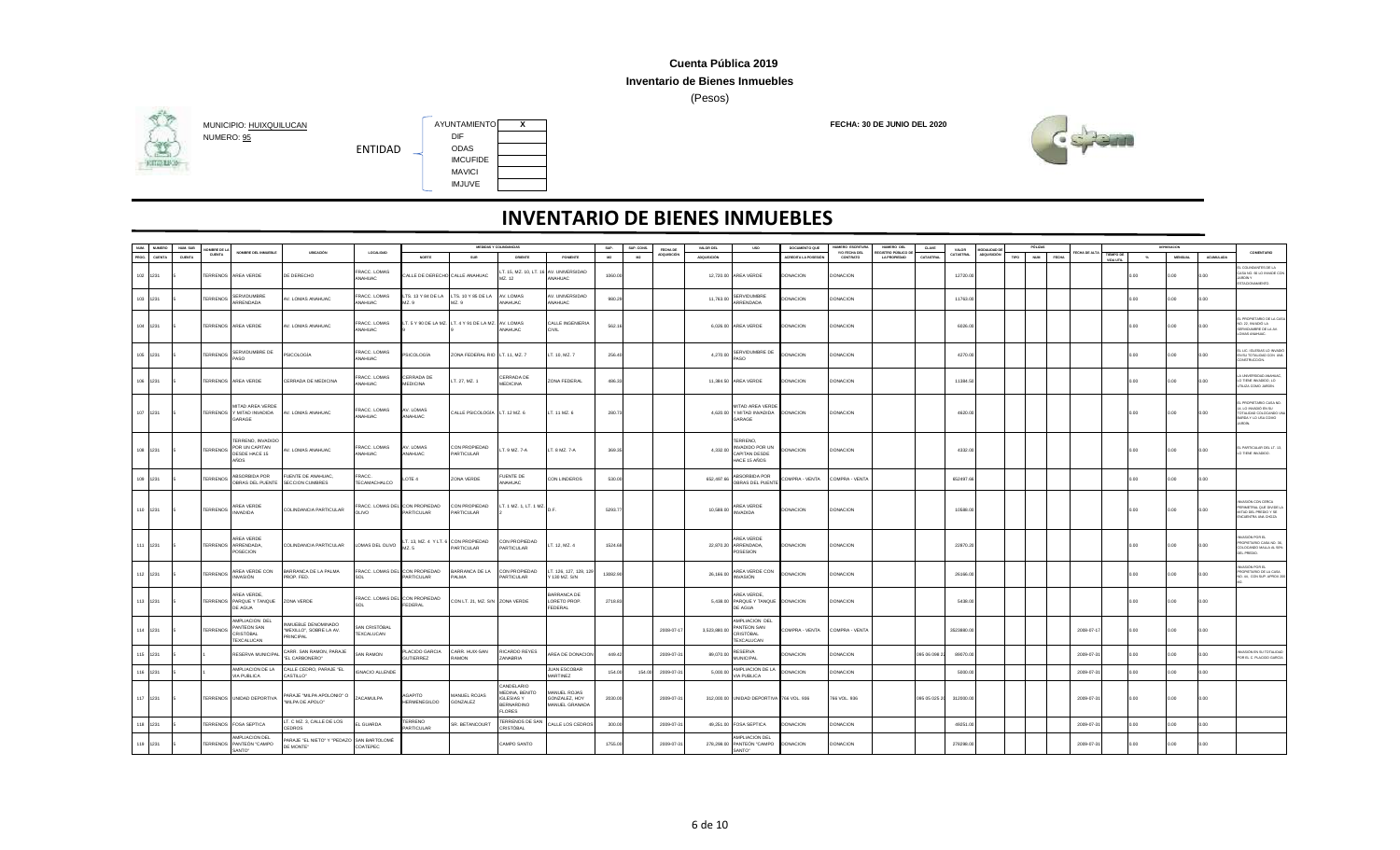#### **Inventario de Bienes Inmuebles**

(Pesos)



## **HITGHING**



| NUM.  | NUMERO        | NUM. SUB      | OMBRE DE LA           |                                                                    |                                                           |                                         |                                             |                                                    | MEDIDAS Y COLINDANCIAS                                                                  |                                                      | SUP.    | SUP. CONS. | FECHA DE    | VALOR DEL          | <b>USO</b>                                                       | DOCUMENTO QUE       | NUMERO ESCRITUR                  | NUMERO DEL                         | CLAVE         | VALOR            | ODALIDAD D  |      |                            |                    |                        |        |                |                  |                                                                                                       |
|-------|---------------|---------------|-----------------------|--------------------------------------------------------------------|-----------------------------------------------------------|-----------------------------------------|---------------------------------------------|----------------------------------------------------|-----------------------------------------------------------------------------------------|------------------------------------------------------|---------|------------|-------------|--------------------|------------------------------------------------------------------|---------------------|----------------------------------|------------------------------------|---------------|------------------|-------------|------|----------------------------|--------------------|------------------------|--------|----------------|------------------|-------------------------------------------------------------------------------------------------------|
| PROG. | <b>CUENTA</b> | <b>CUENTA</b> | CUENTA                | NOMBRE DEL INMUEBLE                                                | UBICACIÓN                                                 | LOCALIDAD                               | NORTE                                       | SUR                                                | ORIENTE                                                                                 | PONENTE                                              | M2      | M2         | ADQUISICIÓN | <b>ADQUISICIÓN</b> |                                                                  | ACREDITA LA POSESIÓ | <b>Y/O FECHA DEL</b><br>CONTRATO | FOISTRO PÚBLICO DI<br>LA PROPIEDAD | CATASTRAL     | <b>CATASTRAL</b> | LOQUISICIÓN | TIPO | <b>NUM</b><br><b>FECHA</b> | <b>ECHA DE ALT</b> | TIEMPO DE<br>VIDA UTIL | $\sim$ | <b>MENSUAL</b> | <b>ACUMULADA</b> | COMENTARIO                                                                                            |
|       | 102 1231      |               | <b><i>ERRENOS</i></b> | AREA VERDE                                                         | DE DERECHO                                                | RACC. LOMAS<br><b>NAHUAC</b>            | ALLE DE DERECHO CALLE ANAHUAC               |                                                    | . 15, MZ. 10, LT.<br>MZ. 12                                                             | <b>6 AV. UNIVERSIDAD</b><br>ANAHLIAC.                | 1060.0  |            |             | 12,720.00          | AREA VERDE                                                       | <b>DONACION</b>     | <b>DONACION</b>                  |                                    |               | 12720.00         |             |      |                            |                    |                        | 2.00   | 0.00           | n nn             | COLINDANTES DE LA<br>ASA NO. 66 LO INVADE CO.<br>ARDÎN Y<br>STACIONAMIENTO.                           |
|       | 103 1231      |               | <b>ERRENOS</b>        | <b>SERVIDUMBRE</b><br>ARRENDADA                                    | V. LOMAS ANAHUAC                                          | RACC. LOMAS<br><b>NAHUAC</b>            | LTS. 13 Y 84 DE LA<br>MZ. 9                 | LTS. 10 Y 85 DE LA<br>AZ.9                         | AV. LOMAS<br>ANAHUAC                                                                    | AV. UNIVERSIDAD<br>ANAHUAC                           | 980.25  |            |             | 11,763.00          | SERVIDUMBRE<br>ARRENDADA                                         | <b>DONACION</b>     | <b>DONACION</b>                  |                                    |               | 11763.00         |             |      |                            |                    |                        | n nn   | 0.00           | o oo             |                                                                                                       |
|       | 104 1231      |               |                       | TERRENOS AREA VERDE                                                | AV. LOMAS ANAHUAC                                         | RACC. LOMAS<br><b>NAHUAC</b>            |                                             | T. 5 Y 90 DE LA MZ. LT. 4 Y 91 DE LA MZ. AV. LOMAS | ANAHUAC                                                                                 | CALLE INGENIERIA<br>CIVIL                            | 562.1   |            |             |                    | 6,026.00 AREA VERDE                                              | <b>DONACION</b>     | <b>DONACION</b>                  |                                    |               | 6026.00          |             |      |                            |                    |                        | 0.00   | 0.00           | 0.00             | L PROPIETARIO DE LA CAS<br>0. 22. INVADIÓ LA<br>SERVIDUMBRE DE LA AV.<br>OMAS ANAHUAC.                |
|       | 105 1231      |               | TERRENOS              | SERVIDUMBRE DE<br>PASO                                             | <b>PSICOLOGÍA</b>                                         | FRACC. LOMAS<br>ANAHUAC                 | <b>SICOLOGÍA</b>                            | ZONA FEDERAL RIO LT. 11, MZ. 7                     |                                                                                         | LT. 10, MZ. 7                                        | 256.4   |            |             | 4,270.00           | SERVIDUMBRE DE<br>PASO                                           | DONACION            | <b>DONACION</b>                  |                                    |               | 4270.00          |             |      |                            |                    |                        | n nn   | 0.00           | o oo             | LIC. IGLESIAS LO INVADIO<br>EN SU TOTALIDAD CON UN<br>CONSTRUCCIÓN.                                   |
|       | 106 1231      |               |                       | TERRENOS AREA VERDE                                                | CERRADA DE MEDICINA                                       | RACC. LOMAS<br>NAHUAC                   | CERRADA DE<br><b>MEDICINA</b>               | T. 27, MZ. 1                                       | CERRADA DE<br><b>MEDICINA</b>                                                           | ZONA FEDERAL                                         | 486.33  |            |             |                    | 11.384.50 AREA VERDE                                             | <b>DONACION</b>     | <b>DONACION</b>                  |                                    |               | 11384.50         |             |      |                            |                    |                        | n nn   | 0.00           | 0.00             | A LINEVERSIDAD ANAH IA<br>LO TIENE INVADIDO, LO<br>JTILIZA COMO JARDÍN.                               |
|       | 107 1231      |               |                       | MITAD AREA VERDE<br>TERRENOS Y MITAD INVADIDA<br>GARAGE            | AV. LOMAS ANAHUAC                                         | FRACC. LOMAS<br>ANAHUAC                 | AV. LOMAS<br>ANAHUAC                        | CALLE PSICOLOGÍA LT. 12 MZ. 6                      |                                                                                         | LT. 11 MZ. 6                                         | 280.7   |            |             |                    | MITAD AREA VERDE<br>4,620.00 Y MITAD INVADIDA DONACION<br>GARAGE |                     | <b>DONACION</b>                  |                                    |               | 4620.00          |             |      |                            |                    |                        | 0.00   | 0.00           | 0.00             | PROPIETARIO CASA NO<br>4, LO INVADIÓ EN SU<br>OTALIDAD COLOCANDO LI<br>BARDA Y LO USA COMO<br>IARDÍN. |
|       | 108 1231      |               | <b>TERRENOS</b>       | <b>ERRENO, INVADIDO</b><br>POR UN CAPITAN<br>DESDE HACE 15<br>AÑOS | AV. LOMAS ANAHUAC                                         | RACC. LOMAS<br><b>NAHUAC</b>            | AV. LOMAS<br>ANAHUAC                        | CON PROPIEDAD<br>PARTICULAR                        | LT. 9 MZ. 7-A                                                                           | LT. 8 MZ. 7-A                                        | 369.3   |            |             | 4.332.00           | TERRENO,<br>INVADIDO POR UN<br>CAPITAN DESDE<br>HACE 15 AÑOS     | <b>DONACION</b>     | <b>DONACION</b>                  |                                    |               | 4332.00          |             |      |                            |                    |                        | 0.00   | 0.00           | 0.00             | L PARTICULAR DEL LT. 13<br>TIENE INVADIDO.                                                            |
|       | 109 1231      |               | <b>TERRENOS</b>       | ABSORBIDA POR<br>OBRAS DEL PUENTE                                  | FUENTE DE ANAHUAC<br>SECCION CUMBRES                      | FRACC.<br>TECAMACHALCO                  | LOTE 4                                      | ZONA VERDE                                         | <b>FUENTE DE</b><br>ANAHUAC                                                             | CON LINDEROS                                         | 530.00  |            |             | 652,497.66         | ABSORBIDA POR<br>OBRAS DEL PUENTE                                | COMPRA - VENTA      | COMPRA - VENTA                   |                                    |               | 652497.66        |             |      |                            |                    |                        | 0.00   | 0.00           | o oo             |                                                                                                       |
|       | 110 1231      |               | <b>TERRENOS</b>       | AREA VERDE<br><b>INVADIDA</b>                                      | COLINDANCIA PARTICULAR                                    | FRACC. LOMAS DEL CON PROPIEDAD<br>OLIVO | PARTICULAR                                  | CON PROPIEDAD<br><b>PARTICULAR</b>                 | LT. 1 MZ. 1, LT. 1 MZ.                                                                  |                                                      | 5293.7  |            |             | 10,588.00          | AREA VERDE<br><b>INVADIDA</b>                                    | <b>DONACION</b>     | <b>DONACION</b>                  |                                    |               | 10588.0          |             |      |                            |                    |                        | 0.00   | 0.00           | 0.00             | WASIÓN CON CERCA<br>ERIMETRAL QUE DIVIDE L<br>MITAD DEL PREDIO Y SE<br>ENCLIENTRA UNA CHOZA           |
|       | 111 1231      |               |                       | AREA VERDE<br>TERRENOS ARRENDADA,<br>POSECION                      | COLINDANCIA PARTICULAR                                    | LOMAS DEL OLIVO                         | LT. 13, MZ. 4 Y LT. 6 CON PROPIEDAD<br>M7 5 | PARTICULAR                                         | CON PROPIEDAD<br>PARTICULAR                                                             | LT. 12, MZ. 4                                        | 1524.6  |            |             |                    | AREA VERDE<br>22,870.20 ARRENDADA,<br>POSESION                   | <b>DONACION</b>     | <b>DONACION</b>                  |                                    |               | 22870.20         |             |      |                            |                    |                        | n nn   | 0.00           | o oo             | JASIÓN POR FL<br>PROPIETARIO CASA NO. 3<br>COLOCANDO MALLA AL 50%<br><b>DEL PREDIO.</b>               |
|       | 112 1231      |               | <b>TERRENOS</b>       | AREA VERDE CON<br>INVASIÓN                                         | BARRANCA DE LA PALMA<br>PROP. FED.                        | FRACC. LOMAS DEL CON PROPIEDAD          | PARTICULAR                                  | BARRANCA DE LA<br>PAI MA                           | CON PROPIEDAD<br>PARTICULAR                                                             | T. 126, 127, 128, 129<br>Y 130 MZ, S/N               | 13082.9 |            |             | 26,166.00          | AREA VERDE CON<br>INVASIÓN                                       | <b>DONACION</b>     | <b>DONACION</b>                  |                                    |               | 26166.00         |             |      |                            |                    |                        | n nn   | 0.00           | o oo             | VASIÓN POR EL<br>PROPIETARIO DE LA CASA<br>NO. 44. CON SUP, APROX 20                                  |
|       | 113 1231      |               |                       | AREA VERDE,<br>TERRENOS PARQUE Y TANQUE<br>DE AGUA                 | ZONA VERDE                                                | FRACC. LOMAS DEL CON PROPIEDAD          | FEDERAL                                     | CON LT. 21, MZ. S/N ZONA VERDE                     |                                                                                         | <b>BARRANCA DE</b><br>LORETO PROP.<br><b>FEDERAL</b> | 2718.83 |            |             |                    | AREA VERDE<br>5,438.00 PARQUE Y TANQUE DONACION<br>DE AGUA       |                     | <b>DONACION</b>                  |                                    |               | 5438.00          |             |      |                            |                    |                        | n nn   | 0.00           | o oo             |                                                                                                       |
|       | 114 1231      |               | <b>ERRENOS</b>        | AMPLIACION DEL<br>ANTEON SAN<br>CRISTÓBAL<br>TEXCALUCAN            | NMUEBLE DENOMINADO<br>MEXILLO", SOBRE LA AV.<br>PRINCIPAL | AN CRISTÓRAL<br><b>EXCALUCAN</b>        |                                             |                                                    |                                                                                         |                                                      |         |            | 2008-07-1   | 3,523,880.00       | AMPLIACION DEL<br>PANTEON SAN<br>CRISTÓBAL<br><b>TEXCALUCAN</b>  | COMPRA - VENTA      | COMPRA - VENTA                   |                                    |               | 3523880.00       |             |      |                            | 2008-07-1          |                        | 0.00   | 0.00           | 0.00             |                                                                                                       |
|       | 115 1231      |               |                       | RESERVA MUNICIPA                                                   | CARR. SAN RAMON, PARAJE<br>"EL CARBONERO"                 | <b>SAN RAMON</b>                        | PLACIDO GARCIA<br><b>GUTIERREZ</b>          | CARR. HUIX-SAN<br><b>MOMA5</b>                     | RICARDO REYES<br>ZANABRIA                                                               | AREA DE DONACION                                     | 449.4   |            | 2009-07-3   | 89,070.00          | <b>RESERVA</b><br>MUNICIPAL                                      | DONACION            | DONACION                         |                                    | 095 06 098 2  | 89070.00         |             |      |                            | 2009-07-3          |                        |        |                |                  | ASIÓN EN SU TOTALIDAD<br>POR EL C. PLACIDO GARCÍA                                                     |
|       | 116 1231      |               |                       | AMPLIACION DE LA<br>VIA PUBLICA                                    | CALLE CEDRO, PARAJE "EL<br>CASTILLO*                      | <b>GNACIO ALLENDE</b>                   |                                             |                                                    |                                                                                         | JUAN ESCOBAR<br>MARTINEZ                             | 154.00  | 154.00     | 2009-07-3   | 5,000.00           | AMPLIACION DE LA<br>VIA PUBLICA                                  | <b>DONACION</b>     | <b>JONACION</b>                  |                                    |               | 5000.00          |             |      |                            | 2009-07-3          |                        |        |                |                  |                                                                                                       |
|       | 117 1231      |               |                       | TERRENOS UNIDAD DEPORTIVA                                          | PARAJE "MILPA APOLONIO" O<br>"MILPA DE APOLO"             | ZACAMULPA                               | AGAPITO<br><b>HERMENEGILDO</b>              | MANUEL ROJAS<br>GONZALEZ                           | CANDELARIO<br>MEDINA, BENITO<br><b>IGLESIAS Y</b><br><b>BERNARDINO</b><br><b>FLORES</b> | MANUEL ROJAS<br>GONZALEZ, HOY<br>MANUEL GRANADA      | 2030.00 |            | 2009-07-31  |                    | 312,000.00 UNIDAD DEPORTIVA 766 VOL. 936                         |                     | 766 VOL. 936                     |                                    | 095 05 025 20 | 312000.00        |             |      |                            | 2009-07-3          |                        | 0.00   | 0.00           | 0.00             |                                                                                                       |
|       | 118 1231      |               |                       | ERRENOS FOSA SEPTICA                                               | T. C MZ. 3, CALLE DE LOS<br>CEDROS                        | L GUARDA                                | TERRENO<br>ARTICULAR                        | R. BETANCOURT                                      | TERRENOS DE SAN<br>CRISTÓBAL                                                            | CALLE LOS CEDROS                                     | 300.0   |            | 2009-07-2   | 49,251.00          | <b>FOSA SEPTICA</b>                                              | <b>DONACION</b>     | DONACION                         |                                    |               | 49251.0          |             |      |                            | 2009-07-3          |                        |        | n nn           | n n              |                                                                                                       |
|       | 119 1231      |               |                       | AMPLIACION DEL<br>ERRENOS PANTEÓN "CAMPO<br>SANTO*                 | PARAJE "EL NIETO" Y "PEDAZO SAN BARTOLOMÊ<br>DE MONTE"    | COATEPEC                                |                                             |                                                    | CAMPO SANTO                                                                             |                                                      | 1755.00 |            | 2009-07-3   |                    | AMPLIACION DEL<br>278,298.00 PANTEÓN "CAMPO<br>SANTO"            | <b>DONACION</b>     | <b>DONACION</b>                  |                                    |               | 278298.00        |             |      |                            | 2009-07-31         |                        | 0.00   | 0.00           | 0.00             |                                                                                                       |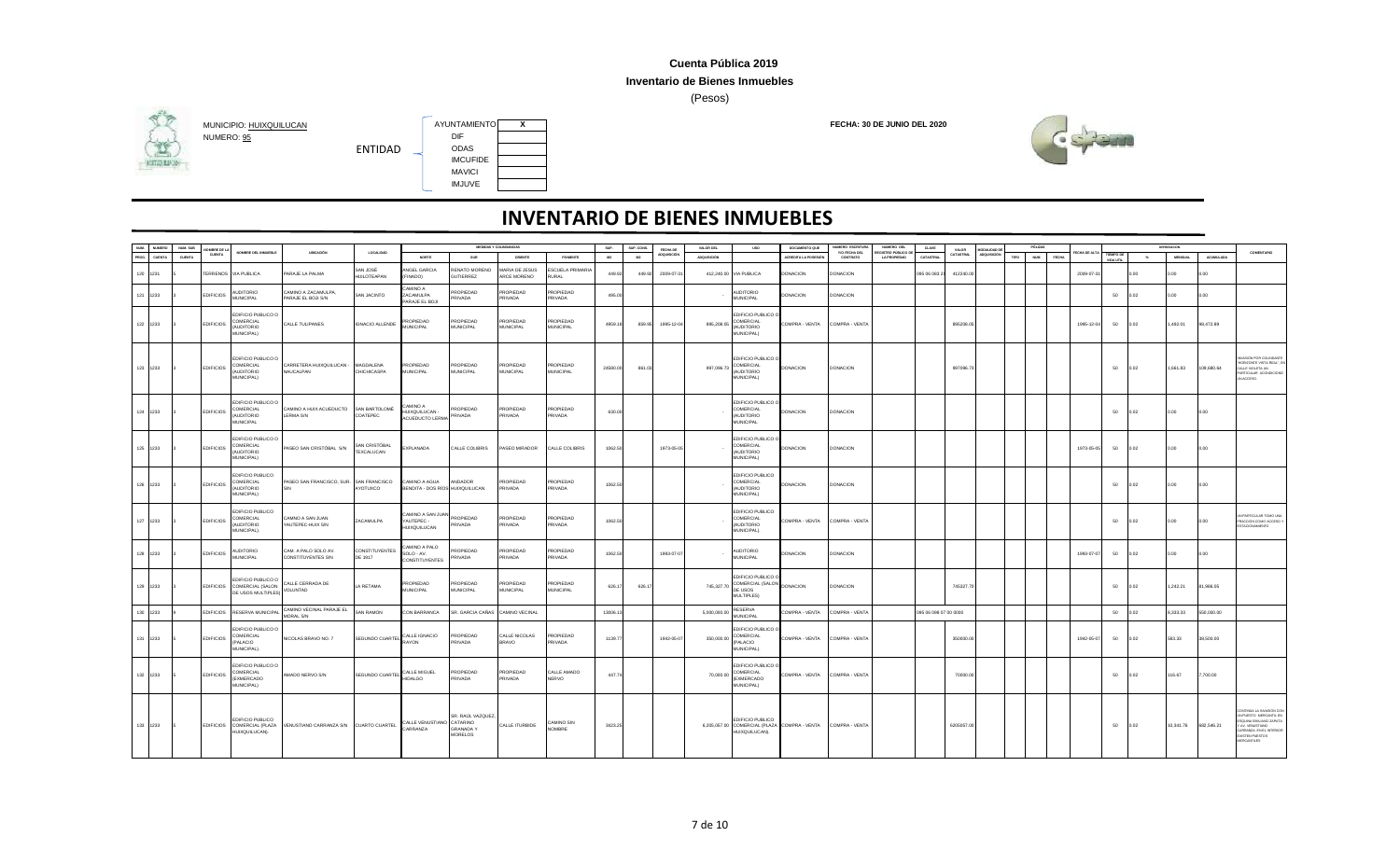### **Inventario de Bienes Inmuebles**

(Pesos)



# NUMERO: <u>95</u> DIF<br>
ENTIDAD DIAS

**HITGHING** 



ENTIDAD

| NUM.  |               | NUM. SUB |                  |                                                                            |                                                    |                                  |                                                                  |                                                  | MEDIDAS Y COLINDANCIAS               |                                   | SUP.     | SUP. CONS      |                         | VALOR DEL    | <b>USO</b>                                                      | DOCUMENTO QUE                                               | NUMERO ESCRITUR           | NUMERO DEL                         | CLAVE                 |                           |                               |      |                     |              |                        |        |                |            |                                                                                                                                                                         |
|-------|---------------|----------|------------------|----------------------------------------------------------------------------|----------------------------------------------------|----------------------------------|------------------------------------------------------------------|--------------------------------------------------|--------------------------------------|-----------------------------------|----------|----------------|-------------------------|--------------|-----------------------------------------------------------------|-------------------------------------------------------------|---------------------------|------------------------------------|-----------------------|---------------------------|-------------------------------|------|---------------------|--------------|------------------------|--------|----------------|------------|-------------------------------------------------------------------------------------------------------------------------------------------------------------------------|
| PROG. | <b>CUENTA</b> | CUENTA   | CUENTA           | NOMBRE DEL INMUERLE                                                        | <b>URICACIÓN</b>                                   | <b>LOCALIDAD</b>                 | NORTE                                                            | SUR                                              | ORIENTE                              | PONENTE                           | M2       | M <sub>2</sub> | FECHA DE<br>ADQUISICIÓN | ADQUISICIÓN  |                                                                 | <b>ACREDITA LA POSESIÓ!</b>                                 | Y/O FECHA DEL<br>CONTRATO | EGISTRO PÚBLICO DE<br>LA PROPIEDAD | CATASTRAL             | VALOR<br><b>CATASTRAL</b> | <b>GRALIDAD</b><br>ADQUISICIÓ | TIPO | NUM<br><b>FECHA</b> | FECHA DE ALT | TIEMPO DE<br>VIDA UTIL | $\sim$ | <b>MENSUAL</b> | ACUMULADA  | COMENTARIO                                                                                                                                                              |
|       | 120 1231      |          |                  | TERRENOS VIA PUBLICA                                                       | PARAJE LA PALMA                                    | SAN JOSÉ<br><b>HUILOTEAPAN</b>   | ANGEL GARCIA<br>(FINADO)                                         | ENATO MORENO<br><b>GUTIERREZ</b>                 | <b>MARIA DE JESUS</b><br>ARCE MORENO | <b>ESCUELA PRIMARIA</b><br>RURAL  | 449.92   | 449.92         | 2009-07-3               |              | 412,240.00 VIA PUBLICA                                          | <b>DONACION</b>                                             | <b>DONACION</b>           |                                    | 095 06 083 2          | 412240.0                  |                               |      |                     | 2009-07-3    |                        | 0.00   | 0.00           | 0.00       |                                                                                                                                                                         |
|       | 121 1233      |          | <b>EDIFICIOS</b> | <b>AUDITORIO</b><br>MUNICIPAL                                              | CAMINO A ZACAMULPA,<br>PARAJE EL BOJI S/N          | SAN JACINTO                      | CAMINO A<br>ZACAMULPA<br>PARAJE EL BOJI                          | PROPIEDAD<br>RIVADA                              | PROPIEDAD<br><b>RIVADA</b>           | PROPIEDAD<br>PRIVADA              | 495.00   |                |                         |              | OIROTION<br>MUNICIPAL                                           | DONACION                                                    | DONACION                  |                                    |                       |                           |                               |      |                     |              | 50                     | 0.02   | 0.00           | 0.00       |                                                                                                                                                                         |
|       | 122 1233      |          | <b>EDIFICIOS</b> | DIFICIO PUBLICO O<br>COMERCIAL<br>(AUDITORIO<br>MUNICIPAL)                 | CALLE TULIPANES                                    | <b>IGNACIO ALLENDE</b>           | PROPIEDAD<br>MUNICIPAL                                           | PROPIEDAD<br><b>MUNICIPAL</b>                    | PROPIEDAD<br>MUNICIPAL               | PROPIEDAD<br><b>MUNICIPAL</b>     | 4959.18  | 859.95         | 1995-12-0               | 895,208.05   | EDIFICIO PUBLICO (<br>COMERCIAL<br>OIROTION)<br>MUNICIPAL)      | COMPRA - VENTA                                              | COMPRA - VENTA            |                                    |                       | 895208.05                 |                               |      |                     | 1995-12-04   | 50                     | 0.02   | 1,492.01       | 98,472.89  |                                                                                                                                                                         |
|       | 123 1233      |          | <b>EDIFICIOS</b> | EDIFICIO PUBLICO O<br>COMERCIAL<br>(AUDITORIO<br>MUNICIPAL)                | CARRETERA HUIXQUILUCAN -<br>NAUCALPAN              | MAGDALENA<br>CHICHICASPA         | PROPIEDAD<br>MUNICIPAL                                           | PROPIEDAD<br><b>MUNICIPAL</b>                    | PROPIEDAD<br><b>MUNICIPAL</b>        | PROPIEDAD<br><b>MUNICIPAL</b>     | 24580.00 | 861.03         |                         | 997,096.7    | EDIFICIO PUBLICO O<br>COMERCIAL<br>(AUDITORIO<br>MUNICIPAL)     | <b>DONACION</b>                                             | DONACION                  |                                    |                       | 997096.7                  |                               |      |                     |              | 50                     | 0.02   | 1,661.83       | 109,680.64 | VASIÓN POR COLINDANTE<br>HORIZONTE VISTA REAL", EI<br>ALLE VIOLETA UN<br>ARTICULAR ACONDICIONÓ<br>UN ACCESO.                                                            |
|       | 124 1233      |          | <b>EDIFICIOS</b> | EDIFICIO PUBLICO O<br>COMERCIAL<br>(AUDITORIO<br>MUNICIPAL                 | CAMINO A HUIX ACUEDUCTO SAN BARTOLOMÊ<br>LERMA S/N | COATEPEC                         | A CMINA:<br>HUIXQUILUCAN -<br>ACUEDUCTO LERMA                    | ROPIEDAD<br>PRIVADA                              | PROPIEDAD<br><b>RIVADA</b>           | ROPIEDAD<br><b>RIVADA</b>         | 630.00   |                |                         |              | EDIFICIO PUBLICO O<br>COMERCIAL<br>(AUDITORIO<br>MUNICIPAL      | DONACION                                                    | <b>DONACION</b>           |                                    |                       |                           |                               |      |                     |              | 50                     | 0.02   | 0.00           | 0.00       |                                                                                                                                                                         |
|       | 125 1233      |          | <b>EDIFICIOS</b> | EDIFICIO PUBLICO O<br>COMERCIAL<br>(AUDITORIO<br>MUNICIPAL)                | PASEO SAN CRISTÓBAL S/N                            | SAN CRISTÓBAL<br>TEXCALUCAN      | EXPLANADA                                                        | CALLE COLIBRIS                                   | ASEO MIRADOR                         | CALLE COLIBRIS                    | 1062.50  |                | 1973-05-05              |              | EDIFICIO PUBLICO O<br>COMERCIAL<br>(AUDITORIO<br>MUNICIPAL)     | <b>DONACION</b>                                             | <b>DONACION</b>           |                                    |                       |                           |                               |      |                     | 1973-05-05   | 50                     | 0.02   | 0.00           | 0.00       |                                                                                                                                                                         |
|       | 126 1233      |          | <b>EDIFICIOS</b> | EDIFICIO PUBLICO<br>COMERCIAL<br>(AUDITORIO<br>MUNICIPAL)                  | PASEO SAN FRANCISCO, SUR. SAN FRANCISCO            | YOTUXCO                          | CAMINO A AGUA<br>BENDITA - DOS RÍOS HUIXQUILUCAN                 | ANDADOR                                          | PROPIEDAD<br><b>RIVADA</b>           | <b>PROPIEDAD</b><br><b>RIVADA</b> | 1062.5   |                |                         |              | EDIFICIO PUBLICO<br>COMERCIAL<br>(AUDITORIO<br>MUNICIPAL)       | DONACION                                                    | <b>DONACION</b>           |                                    |                       |                           |                               |      |                     |              | 50                     | 0.02   | 0.00           | 0.00       |                                                                                                                                                                         |
|       | 127 1233      |          | <b>EDIFICIOS</b> | EDIFICIO PUBLICO<br>COMERCIAL<br>(AUDITORIO<br>MUNICIPAL).                 | CAMNO A SAN JUAN<br>YAUTEPEC-HUIX S/N              | ZACAMULPA                        | CAMINO A SAN JUAN PROPIEDAD<br>YAUTEPEC -<br><b>HUIXQUILUCAN</b> | PRIVADA                                          | PROPIEDAD<br>PRIVADA                 | PROPIEDAD<br>PRIVADA              | 1062.50  |                |                         |              | EDIFICIO PUBLICO<br>COMERCIAL<br>(AUDITORIO<br>MUNICIPAL).      | COMPRA - VENTA                                              | COMPRA - VENTA            |                                    |                       |                           |                               |      |                     |              | 50                     | 0.02   | 0.00           | 0.00       | N PARTICULAR TOMO UN<br>RACCIÓN COMO ACCESO Y<br>STACIONAMIENTO                                                                                                         |
|       | 128 1233      |          | <b>EDIFICIOS</b> | <b>AUDITORIO</b><br><b>MUNICIPAL</b>                                       | CAM. A PALO SOLO AV.<br><b>CONSTITUYENTES S/N</b>  | <b>CONSTITUYENTES</b><br>DE 1917 | CAMINO A PALO<br>SOLO - AV.<br>CONSTITUYENTES                    | PROPIEDAD<br><b>RIVADA</b>                       | PROPIEDAD<br>PRIVADA                 | PROPIEDAD<br>PRIVADA              | 1062.50  |                | 1993-07-07              |              | <b>AUDITORIO</b><br><b>MUNICIPAL</b>                            | <b>DONACION</b>                                             | <b>DONACION</b>           |                                    |                       |                           |                               |      |                     | 1993-07-07   | 50                     | 0.02   | 0.00           | 0.00       |                                                                                                                                                                         |
|       | 129 1233      |          | <b>EDIFICIOS</b> | EDIFICIO PUBLICO O<br>COMERCIAL (SALON<br>DE USOS MULTIPLES                | CALLE CERRADA DE<br>VOLUNTAD                       | LA RETAMA                        | <b>PROPIEDAD</b><br><b>MUNICIPAL</b>                             | <b>PROPIEDAD</b><br><b>MUNICIPAL</b>             | PROPIEDAD<br><b>MUNICIPAL</b>        | PROPIEDAD<br><b>MUNICIPAL</b>     | 626.17   | 626.1          |                         | 745,327.7    | EDIFICIO PUBLICO O<br>COMERCIAL (SALON<br>DE USOS<br>MULTIPLES) | <b>DONACION</b>                                             | <b>DONACION</b>           |                                    |                       | 745327.7                  |                               |      |                     |              | 50                     | 0.02   | 1,242.21       | 81,986.05  |                                                                                                                                                                         |
|       | 130 1233      |          |                  | EDIFICIOS RESERVA MUNICIPAL                                                | CAMINO VECINAL PARAJE EL<br>MORAL S/N              | SAN RAMON                        | CON BARRANCA                                                     | SR. GARCIA CAÑAS CAMINO VECINAL                  |                                      |                                   | 13006.13 |                |                         | 5,000,000.00 | <b>RESERVA</b><br><b>MUNICIPAL</b>                              | COMPRA - VENTA                                              | COMPRA - VENTA            |                                    | 095 06 098 07 00 0000 |                           |                               |      |                     |              | 50                     | 0.02   | 8,333.33       | 550.000.00 |                                                                                                                                                                         |
|       | 131 1233      |          | <b>EDIFICIOS</b> | EDIFICIO PUBLICO O<br>COMERCIAL<br>(PALACIO<br>MUNICIPAL).                 | NICOLAS BRAVO NO. 7                                | SEGUNDO CUARTEL                  | CALLE IGNACIO<br>RAYON                                           | PROPIEDAD<br>PRIVADA                             | CALLE NICOLAS<br><b>BRAVO</b>        | <b>PROPIEDAD</b><br>PRIVADA       | 1139.77  |                | 1942-05-0               | 350,000.00   | EDIFICIO PUBLICO O<br>COMERCIAL<br>PALACIO<br>MUNICIPAL).       | COMPRA - VENTA                                              | COMPRA - VENTA            |                                    |                       | 350000.00                 |                               |      |                     | 1942-05-07   | 50                     | 0.02   | 583.33         | 38,500.00  |                                                                                                                                                                         |
|       | 132 1233      |          | <b>EDIFICIOS</b> | <b>EDIFICIO PUBLICO O</b><br>COMERCIAL<br><b>(EXMERCADO)</b><br>MUNICIPAL) | AMADO NERVO S/N                                    | SEGUNDO CUARTEL CALLE MIGUEL     |                                                                  | PROPIEDAD<br>PRIVADA                             | PROPIEDAD<br>PRIVADA                 | CALLE AMADO<br><b>NERVO</b>       | 447.74   |                |                         | 70,000.00    | EDIFICIO PUBLICO O<br>COMERCIAL<br>(EXMERCADO<br>MUNICIPAL)     | COMPRA - VENTA COMPRA - VENTA                               |                           |                                    |                       | 70000.00                  |                               |      |                     |              | 50                     | 0.02   | 116.67         | 7,700.00   |                                                                                                                                                                         |
|       | 133 1233      |          | <b>EDIFICIOS</b> | EDIFICIO PUBLICO<br>COMERCIAL (PLAZA<br>HUIXQUILUCAN).                     | VENUSTIANO CARRANZA S/N CUARTO CUARTEL             |                                  | CALLE VENUSTIANO CATARINO<br>CARRANZA                            | SR. RAÚL VAZQUEZ,<br><b>GRANADA Y</b><br>MORELOS | CALLE ITURBIDE                       | CAMINO SIN<br><b>JOMBRE</b>       | 3423.25  |                |                         |              | EDIFICIO PUBLICO<br>HUIXQUILUCAN).                              | 6,205,057.00 COMERCIAL (PLAZA COMPRA - VENTA COMPRA - VENTA |                           |                                    |                       | 6205057.00                |                               |      |                     |              | 50                     | 0.02   | 10,341.76      | 682,546.21 | ONTINÚA LA INVASIÓN CO<br>IN PUESTO MERCANTIL EN<br>SQUINA EMILIANO ZAPATA<br>AV. VENUSTIANO<br>ARRANZA, EN EL INTERIOR<br>EXISTEN PUESTOS<br><b><i>IERCANTILES</i></b> |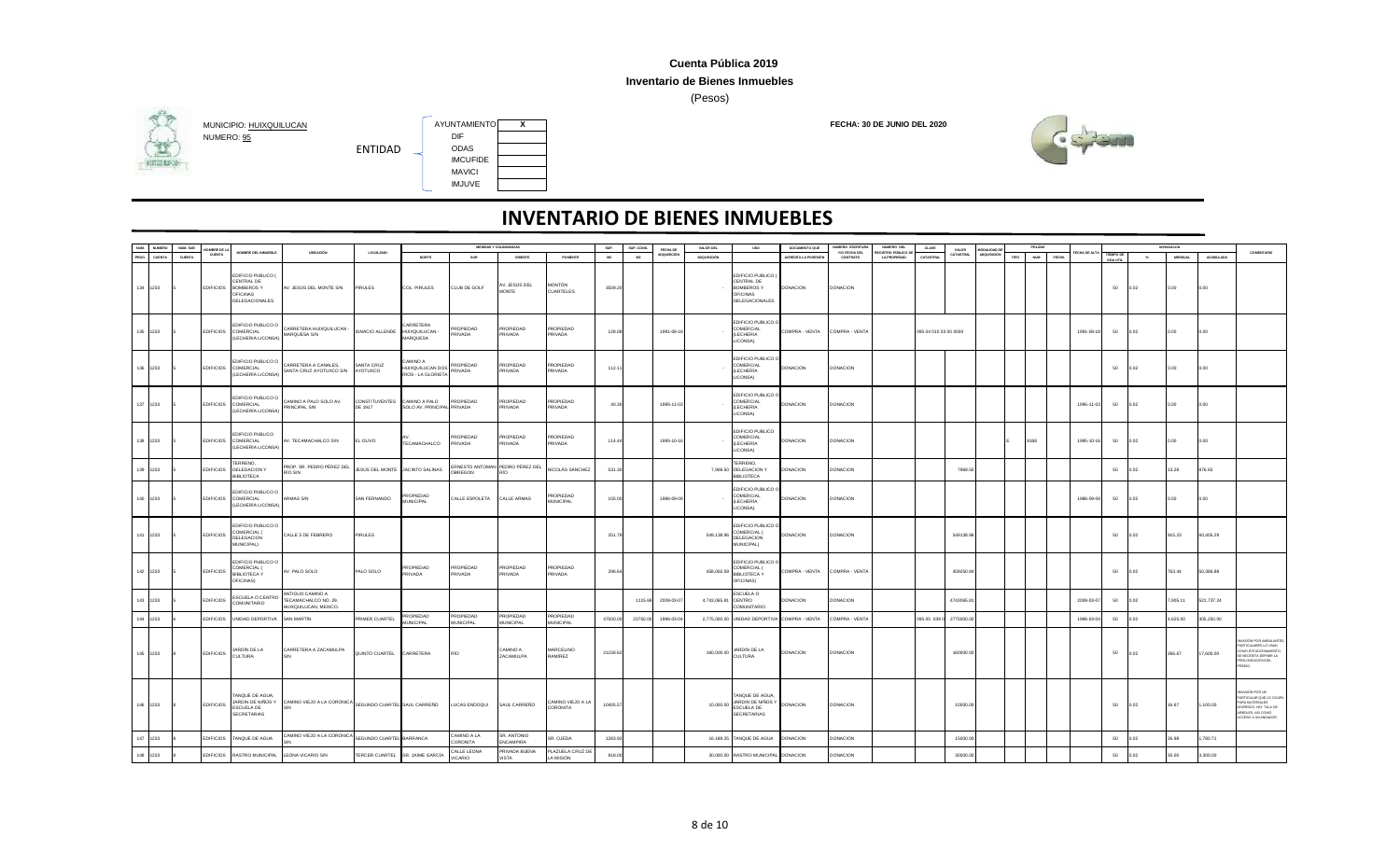### **Inventario de Bienes Inmuebles**

(Pesos)



## **HITGHING**



|               | <b>NUMERO</b> | NUM, SUB | MBRE DE          |                                                                                        |                                                                          |                                 |                                                      |                               | MEDIDAS Y COLINDANCIAS                 |                               | SUP.     | SUP, CONS | FECHA DE          | VALOR DEL           | <b>USO</b>                                                                                 | DOCUMENTO QUE              | NUMERO ESCRITUR           | NUMERO DEL                                       |                       | VALOR            | <b>GRALIDAD</b> |      |                            |             |                        |       |                |            |                                                                                                                               |
|---------------|---------------|----------|------------------|----------------------------------------------------------------------------------------|--------------------------------------------------------------------------|---------------------------------|------------------------------------------------------|-------------------------------|----------------------------------------|-------------------------------|----------|-----------|-------------------|---------------------|--------------------------------------------------------------------------------------------|----------------------------|---------------------------|--------------------------------------------------|-----------------------|------------------|-----------------|------|----------------------------|-------------|------------------------|-------|----------------|------------|-------------------------------------------------------------------------------------------------------------------------------|
| NUM.<br>PROG. | CUENTA        | CUENTA   | CUENTA           | NOMBRE DEL INMUEBLE                                                                    | UBICACIÓN                                                                | LOCALIDAD                       | NORTE                                                | SUR                           | ORIENTE                                | PONENTE                       | M2       | M2        | ADQUISICIÓN       | ADQUISICIÓN         |                                                                                            | <b>ACREDITA LA POSESIÓ</b> | Y/O FECHA DEL<br>CONTRATO | <b>EGISTRO PÚBLICO DE</b><br><b>LA PROPIEDAD</b> | CATASTRAL             | <b>CATASTRAL</b> | LOQUISICIÓN     | TIPO | <b>NUM</b><br><b>FECHA</b> | ECHA DE ALT | TIEMPO DE<br>VIDA UTIL | $-26$ | <b>MENSUAL</b> | ACUMULADA  | COMENTARIO                                                                                                                    |
|               | 134 1233      |          | <b>EDIFICIOS</b> | EDIFICIO PUBLICO<br>ENTRAL DE<br><b>BOMBEROS Y</b><br><b>FICINAS</b><br>DELEGACIONALES | AV. JESÚS DEL MONTE S/N                                                  | PIRULES                         | COL. PIRULES                                         | CLUB DE GOLF                  | V. JESÚS DEL<br>MONTE                  | MONTÓN<br>CUARTELES           | 3509.20  |           |                   |                     | EDIFICIO PUBLICO (<br>CENTRAL DE<br><b>BOMBEROS Y</b><br><b>OFICINAS</b><br>DELEGACIONALES | <b>DONACION</b>            | <b>DONACION</b>           |                                                  |                       |                  |                 |      |                            |             | 50                     | 0.02  | 0.00           | 0.00       |                                                                                                                               |
|               | 135 1233      |          | <b>EDIFICIOS</b> | <b>DIFICIO PUBLICO O</b><br>COMERCIAL<br>LECHERIA LICONSA)                             | CARRETERA HUIXQUILUCAN -<br>MARQUESA S/N                                 | <b>IGNACIO ALLENDE</b>          | <b>ARRETERA</b><br>HUIXQUILUCAN -<br><b>MARQUESA</b> | PROPIEDAD<br><b>RIVADA</b>    | PROPIEDAD<br>PRIVADA                   | PROPIEDAD<br>PRIVADA          | 128.08   |           | 1991-08-18        |                     | EDIFICIO PUBLICO (<br>COMERCIAL<br>(LECHERIA<br>LICONSA).                                  | COMPRA - VENTA             | COMPRA - VENTA            |                                                  | 095 04 010 03 00 0000 |                  |                 |      |                            | 1991-08-18  | 50                     | 0.02  | lo oo          | 0.00       |                                                                                                                               |
|               | 136 1233      |          | <b>EDIFICIOS</b> | DIFICIO PUBLICO O<br>COMERCIAL<br>LECHERÍA LICONSA)                                    | CARRETERA A CANALES,<br>SANTA CRUZ AYOTUXCO S/N                          | SANTA CRUZ<br>AYOTUXCO          | A OWIMA:<br>IUIXQUILUCAN DOS<br>RÍOS - LA GLORIETA   | ROPIEDAD<br>RIVADA            | PROPIEDAD<br>PRIVADA                   | ROPIEDAD<br>PRIVADA           | 112.1    |           |                   |                     | EDIFICIO PUBLICO<br>COMERCIAL<br>(LECHERÍA<br>LICONSA)                                     | DONACION                   | DONACION                  |                                                  |                       |                  |                 |      |                            |             | 50                     | 0.02  | 0.00           | 0.00       |                                                                                                                               |
|               | 137 1233      |          |                  | <b>DIFICIO PUBLICO O</b><br>EDIFICIOS COMERCIAL<br>LECHERÍA LICONSA                    | CAMINO A PALO SOLO AV.<br>PRINCIPAL S/N                                  | CONSTITUYENTES<br>DE 1917       | CAMINO A PALO<br>SOLO AV. PRINCIPAL PRIVADA          | PROPIEDAD                     | <b>PROPIEDAD</b><br><b>RIVADA</b>      | PROPIFDAD<br>PRIVADA          | 40.30    |           | 1995-11-03        |                     | EDIFICIO PUBLICO O<br>COMERCIAL<br>(LECHERÍA<br>LICONSA)                                   | <b>DONACION</b>            | <b>DONACION</b>           |                                                  |                       |                  |                 |      |                            | 1995-11-03  | 50                     | 0.02  | 0.001          | 0.00       |                                                                                                                               |
|               | 138 1233      |          |                  | EDIFICIO PUBLICO<br>EDIFICIOS COMERCIAL<br>(LECHERÍA LICONSA)                          | AV. TECAMACHALCO S/N                                                     | EL OLIVO                        | TECAMACHALCO                                         | ROPIEDAD<br>PRIVADA           | PROPIEDAD<br>PRIVADA                   | PROPIEDAD<br>PRIVADA          | 114.44   |           | 1995-10-1         |                     | EDIFICIO PUBLICO<br>COMERCIAL<br>(LECHERÍA<br>LICONSA)                                     | <b>DONACION</b>            | <b>DONACION</b>           |                                                  |                       |                  |                 |      | 8168                       | 1995-10-16  | 50                     | 0.02  | 0.00           | 0.00       |                                                                                                                               |
|               | 139 1233      |          | <b>EDIFICIOS</b> | ERRENO,<br>DELEGACION Y<br><b>IBLIOTECA</b>                                            | PROP. SR. PEDRO PÉREZ DEL<br>RÍO S/N                                     | JESÚS DEL MONTE                 | JACINTO SALINAS                                      | OBREGON                       | <b>ERNESTO ANTOMAN PEDRO PÉREZ DEL</b> | NICOLÁS SÁNCHEZ               | 531.30   |           |                   |                     | TERRENO,<br>7,969.50 DELEGACION Y<br><b>BIBLIOTECA</b>                                     | <b>DONACION</b>            | <b>DONACION</b>           |                                                  |                       | 7969.50          |                 |      |                            |             | 50                     | 0.02  | 13.28          | 876.65     |                                                                                                                               |
|               | 140 1233      |          | <b>EDIFICIOS</b> | DIFICIO PUBLICO O<br>COMERCIAL<br>LECHERÍA LICONSA)                                    | ARMAS S/N                                                                | SAN FERNANDO                    | ROPIEDAD<br><b>IUNICIPAL</b>                         | CALLE ESPOLETA                | CALLE ARMAS                            | ROPIEDAD<br><b>MUNICIPAL</b>  | 105.00   |           | 1986-09-09        |                     | EDIFICIO PUBLICO O<br>COMERCIAL<br>(LECHERÍA<br>LICONSA).                                  | <b>DONACION</b>            | <b>DONACION</b>           |                                                  |                       |                  |                 |      |                            | 1986-09-09  | 50                     | 0.02  | 0.00           | 0.00       |                                                                                                                               |
|               | 141 1233      |          | <b>EDIFICIOS</b> | DIFICIO PUBLICO O<br>COMERCIAL (<br>DELEGACION<br>MUNICIPAL)                           | CALLE 5 DE FEBRERO                                                       | PIRULES                         |                                                      |                               |                                        |                               | 251.79   |           |                   | 549,138.96          | EDIFICIO PUBLICO O<br>COMERCIAL (<br>DELEGACION<br>MUNICIPAL)                              | <b>DONACION</b>            | <b>DONACION</b>           |                                                  |                       | 549138.96        |                 |      |                            |             | 50                     | 0.02  | 915.23         | 60,405.29  |                                                                                                                               |
|               | 142 1233      |          | <b>EDIFICIOS</b> | EDIFICIO PUBLICO O<br>COMERCIAL (<br><b>BIBLIOTECA Y</b><br><b>OFICINASI</b>           | AV. PALO SOLO                                                            | PALO SOLO                       | PROPIEDAD<br><b>PRIVADA</b>                          | PROPIEDAD<br>PRIVADA          | PROPIEDAD<br>PRIVADA                   | PROPIEDAD<br>PRIVADA          | 296.64   |           |                   | 458,062.59          | EDIFICIO PUBLICO O<br>COMERCIAL (<br><b>BIBLIOTECA Y</b><br>OFICINAS)                      | COMPRA - VENTA             | COMPRA - VENTA            |                                                  |                       | 459250.84        |                 |      |                            |             | 50                     | 0.02  | 763.44         | 50,386.88  |                                                                                                                               |
|               | 143 1233      |          | <b>EDIFICIOS</b> | <b>SCUELA O CENTRO</b><br><b>OIRATINUMOC</b>                                           | <b>INTIGUO CAMINO A</b><br>TECAMACHALCO NO. 29,<br>HUIXQUILUCAN, MEXICO. |                                 |                                                      |                               |                                        |                               |          |           | 1115.69 2008-03-0 | 4,743,065.81 CENTRO | ESCUELA O<br>COMUNITARIO                                                                   | <b>DONACION</b>            | <b>DONACION</b>           |                                                  |                       | 4743065.81       |                 |      |                            | 2008-03-07  | 50                     | 0.02  | 7.905.11       | 521,737.24 |                                                                                                                               |
|               | 144 1233      |          | <b>EDIFICIOS</b> | UNIDAD DEPORTIVA                                                                       | SAN MARTÍN                                                               | PRIMER CUARTEL                  | ROPIEDAD<br><b>UNICIPAL</b>                          | PROPIEDAD<br><b>MUNICIPAL</b> | PROPIEDAD<br>MUNICIPAL                 | PROPIFDAD<br>MUNICIPAL        | 47500.00 | 23750.00  | 1996-03-0         |                     | 2,775,000.00 UNIDAD DEPORTIVA COMPRA - VENTA                                               |                            | COMPRA - VENTA            |                                                  | 095 05 039 0          | 2775000.0        |                 |      |                            | 1996-03-04  | 50                     | 102   | 4,625.00       | 305,250.00 |                                                                                                                               |
|               | 145 1233      |          | <b>EDIFICIOS</b> | JARDÍN DE LA<br><b>CULTURA</b>                                                         | CARRETERA A ZACAMULPA<br>S/N                                             | QUINTO CUARTEL                  | CARRETERA                                            | RÍO                           | CAMINO A<br>ZACAMULPA                  | MARCELINO<br>RAMÍREZ          | 21158.62 |           |                   |                     | 160,000.00 JARDÍN DE LA                                                                    | <b>DONACION</b>            | <b>DONACION</b>           |                                                  |                       | 160000.00        |                 |      |                            |             | 50                     | 0.02  | 266.67         | 17,600.00  | VASIÓN POR AMBLILANTE<br>ARTICULARES LO USAN<br>OMO ESTACIONAMIENTO<br>SE NECESITA DEFINIR LA<br>ROLONGACIÓN DEL<br>REDIO.    |
|               | 146 1233      |          | <b>EDIFICIOS</b> | ANQUE DE AGUA,<br>JARDIN DE NIÑOS Y<br>ESCUELA DE<br>SECRETARIAS                       | CAMINO VIEJO A LA CORONICA SEGUNDO CUARTEL SAUL CARREÑO                  |                                 |                                                      | LUCAS ENDOQUI                 | SAUL CARREÑO                           | AMINO VIEJO A LA<br>CORONITA  | 10405.57 |           |                   | 10,000.00           | TANQUE DE AGUA,<br>JARDIN DE NIÑOS Y<br>ESCUELA DE<br><b>SECRETARIAS</b>                   | <b>DONACION</b>            | <b>DONACION</b>           |                                                  |                       | 10000.00         |                 |      |                            |             | 50                     | 0.02  | 16.67          | 1,100.00   | VASIÓN POR LIN<br>ARTICULAR QUE LO OCUPA<br>ARA MATERIALES<br>IVERSOS, HAY TALA DE<br>RBOLES, ASI COMO<br>ACCESO A UN ANDADOR |
|               | 147 1233      |          | <b>EDIFICIOS</b> | TANQUE DE AGUA                                                                         | CAMINO VIEJO A LA CORONICA                                               | SEGUNDO CUARTEL BARRANCA        |                                                      | AMINO A LA<br>CORONITA        | SR. ANTONIO<br><b>FNCAMPIRA</b>        | SR. OJEDA                     | 1283.92  |           |                   |                     | 16,188.25 TANQUE DE AGUA                                                                   | <b>DONACION</b>            | <b>DONACION</b>           |                                                  |                       | 15000.00         |                 |      |                            |             | 50                     | 0.02  | 26.98          | 1,780.71   |                                                                                                                               |
|               | 148 1233      |          |                  | EDIFICIOS RASTRO MUNICIPAL                                                             | LEONA VICARIO S/N                                                        | TERCER CUARTEL SR. JAIME GARCÍA |                                                      | CALLE LEONA<br>VICARIO        | PRIVADA BUENA<br>VISTA                 | PLAZUELA CRUZ DI<br>LA MISIÓN | 918.00   |           |                   |                     | 30,000.00 RASTRO MUNICIPAL DONACION                                                        |                            | DONACION                  |                                                  |                       | 30000.00         |                 |      |                            |             | 50                     | 0.02  | 50.00          | 3,300.00   |                                                                                                                               |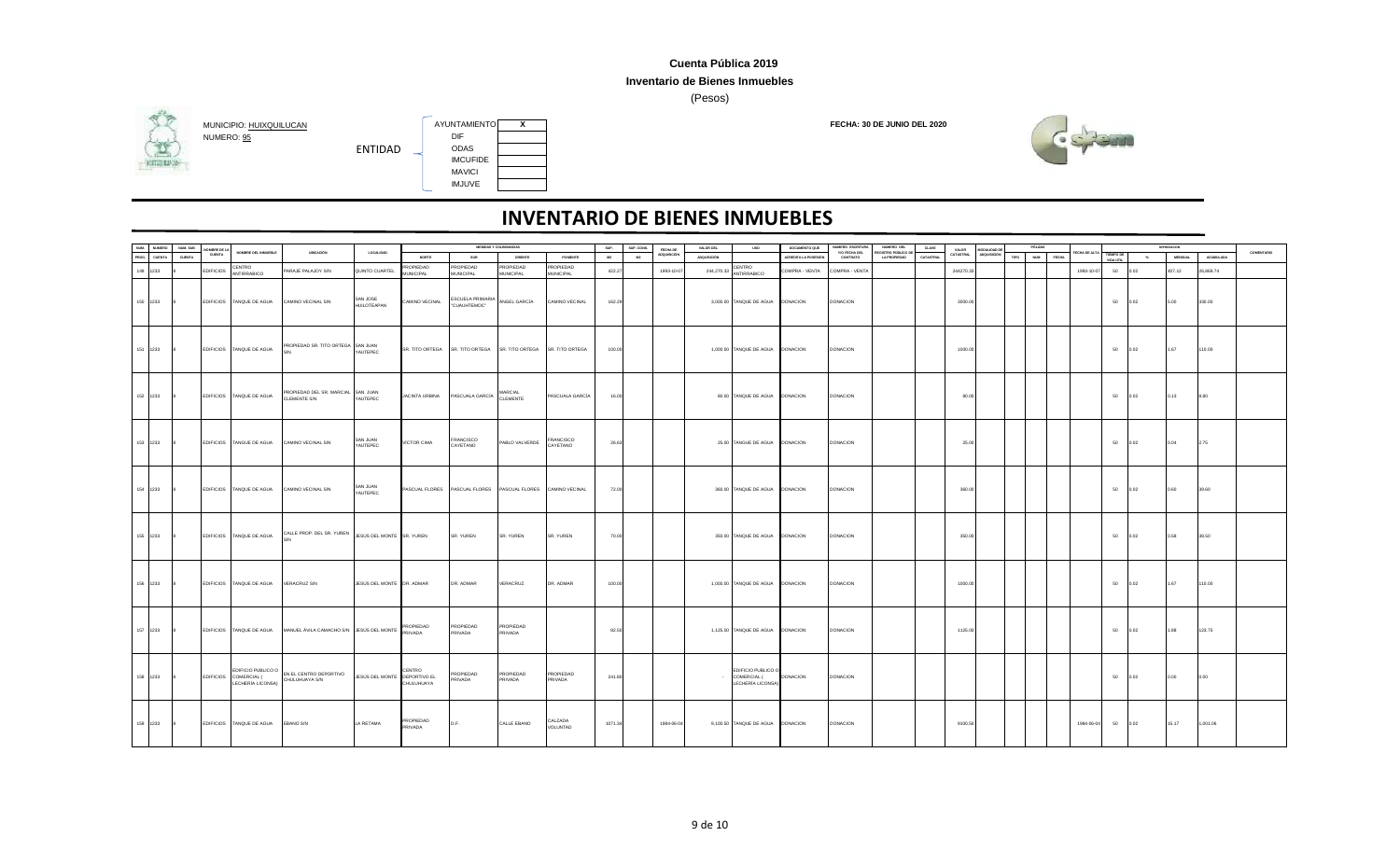### **Inventario de Bienes Inmuebles**

(Pesos)



## NUMERO: <u>95</u> DIF<br>
FNTIDAD ODAS **HITGHING**



ENTIDAD

|                             |          |                       |                                                                  |                                                                             |                                |                              |                                                             | MEDIDAS Y COLINDANCIAS |                       |         |            |                         |                    |                                                        | DOCUMENTO QUE              | NUMERO ESCRITURA | NUMERO DEL                 |           |                    |                                    |      | PÓLIZAS      |                    |                        |                         | DEPRESIACION   |                  |            |
|-----------------------------|----------|-----------------------|------------------------------------------------------------------|-----------------------------------------------------------------------------|--------------------------------|------------------------------|-------------------------------------------------------------|------------------------|-----------------------|---------|------------|-------------------------|--------------------|--------------------------------------------------------|----------------------------|------------------|----------------------------|-----------|--------------------|------------------------------------|------|--------------|--------------------|------------------------|-------------------------|----------------|------------------|------------|
| NUM. NUMERO<br>PROG. CUENTA | NUM. SUB | OMBRE DE LA<br>CUENTA | NOMBRE DEL INMUEBLE                                              | UBICACIÓN                                                                   | <b>LOCALIDAD</b>               |                              |                                                             |                        |                       | SUP.    | SUP. CONS. | FECHA DE<br>ADQUISICIÓN | VALOR DEL          | <b>USO</b>                                             |                            | Y/O FECHA DEL    | <b>REGISTRO PÚBLICO DE</b> | CLAVE     | VALOR<br>CATASTRAL | <b>AODALIDAD DE</b><br>ADQUISICIÓN |      |              | FECHA DE ALT       |                        |                         |                |                  | COMENTARIO |
|                             | CUENTA   |                       |                                                                  |                                                                             |                                | NORTE                        | SUR                                                         | ORIENTE                | PONENTE               | M2      | M2         |                         | <b>ADQUISICIÓN</b> |                                                        | <b>ACREDITA LA POSESIÓ</b> | CONTRATO         | <b>LA PROPIEDAD</b>        | CATASTRAL |                    |                                    | TIPO | NUM<br>FECHA |                    | TIEMPO DE<br>VIDA UTIL | $\mathcal{H}_{\bullet}$ | <b>MENSUAL</b> | <b>ACUMULADA</b> |            |
| 149 1233                    |          | <b>EDIFICIOS</b>      | CENTRO<br>ANTIRRABICO                                            | PARAJE PALAJOY S/N                                                          | QUINTO CUARTEL                 | ROPIEDAD<br><b>MUNICIPAL</b> | PROPIEDAD<br>MUNICIPAL                                      | ROPIEDAD<br>MUNICIPAL  | ROPIEDAD<br>MUNICIPAL | 422.27  |            | 1993-10-07              | 244,270.33         | CENTRO<br>ANTIRRABICO                                  | COMPRA - VENTA             | COMPRA - VENTA   |                            |           | 244270.33          |                                    |      |              | 1993-10-07         | 50                     |                         | 407.12         | 26,869.74        |            |
| 150 1233                    |          |                       | EDIFICIOS TANQUE DE AGUA                                         | CAMINO VECINAL S/N                                                          | SAN JOSE<br><b>HUILOTEAPAN</b> | CAMINO VECINAL               | ESCUELA PRIMARIA<br>"CUAUHTEMOC"                            | ÁNGEL GARCÍA           | CAMINO VECINAL        | 162.29  |            |                         |                    | 3,000.00 TANQUE DE AGUA DONACION                       |                            | <b>DONACION</b>  |                            |           | 3000.00            |                                    |      |              |                    | 50                     | 0.02                    | 5.00           | 330.00           |            |
| 151 1233                    |          |                       | EDIFICIOS TANQUE DE AGUA                                         | PROPIEDAD SR. TITO ORTEGA SAN JUAN                                          | YAUTEPEC                       |                              | SR. TITO ORTEGA SR. TITO ORTEGA                             | SR. TITO ORTEGA        | SR. TITO ORTEGA       | 100.00  |            |                         |                    | 1,000.00 TANQUE DE AGUA DONACION                       |                            | DONACION         |                            |           | 1000.00            |                                    |      |              |                    | 50                     | 0.02                    | 1.67           | 110.00           |            |
| 152 1233 8                  |          |                       | EDIFICIOS TANQUE DE AGUA                                         | PROPIEDAD DEL SR. MARCIAL SAN JUAN<br><b>CLEMENTE S/N</b>                   | YAUTEPEC                       |                              | JACINTA URBINA PASCUALA GARCÍA MARCIAL                      |                        | PASCUALA GARCÍA       | 16.00   |            |                         |                    | 80.00 TANQUE DE AGUA DONACION                          |                            | <b>DONACION</b>  |                            |           | 80.00              |                                    |      |              |                    | 50                     | 0.02                    | 0.13           | 8.80             |            |
| 153 1233                    |          |                       | EDIFICIOS TANGUE DE AGUA                                         | CAMINO VECINAL S/N                                                          | SAN JUAN<br>YAUTEPEC           | VÍCTOR CIMA                  | FRANCISCO<br>CAYETANO                                       | PABLO VALVERDE         | FRANCISCO<br>CAYETANO | 26.63   |            |                         |                    | 25.00 TANGUE DE AGUA DONACION                          |                            | <b>DONACION</b>  |                            |           | 25.00              |                                    |      |              |                    | 50                     | 0.02                    | 0.04           | 2.75             |            |
| 154 1233                    |          |                       | EDIFICIOS TANQUE DE AGUA                                         | CAMINO VECINAL S/N                                                          | SAN JUAN<br>YAUTEPEC           |                              | PASCUAL FLORES PASCUAL FLORES PASCUAL FLORES CAMINO VECINAL |                        |                       | 72.00   |            |                         |                    | 360.00 TANQUE DE AGUA DONACION                         |                            | <b>DONACION</b>  |                            |           | 360.00             |                                    |      |              |                    | 50                     | 0.02                    | 0.60           | 39.60            |            |
| 155 1233                    |          |                       | EDIFICIOS TANQUE DE AGUA                                         | CALLE PROP. DEL SR. YUREN JESÚS DEL MONTE SR. YUREN                         |                                |                              | SR. YUREN                                                   | SR. YUREN              | SR. YUREN             | 70.00   |            |                         |                    | 350.00 TANQUE DE AGUA DONACION                         |                            | DONACION         |                            |           | 350.00             |                                    |      |              |                    | 50                     | 0.02                    | 0.58           | 38.50            |            |
| 156 1233                    |          |                       | EDIFICIOS TANQUE DE AGUA                                         | VERACRUZ S/N                                                                | JESÚS DEL MONTE DR. ADMAR      |                              | DR. ADMAR                                                   | VERACRUZ               | DR. ADMAR             | 100.00  |            |                         |                    | 1,000.00 TANQUE DE AGUA DONACION                       |                            | <b>DONACION</b>  |                            |           | 1000.00            |                                    |      |              |                    | 50                     | 0.02                    | 1.67           | 110.00           |            |
| 157 1233 8                  |          |                       |                                                                  | EDIFICIOS TANQUE DE AGUA MANUEL ÁVILA CAMACHO S/N JESÚS DEL MONTE PROPIEDAD |                                |                              | PROPIEDAD<br>PRIVADA                                        | PROPIEDAD<br>PRIVADA   |                       | 82.50   |            |                         |                    | 1,125.00 TANQUE DE AGUA DONACION                       |                            | <b>DONACION</b>  |                            |           | 1125.00            |                                    |      |              |                    | 50                     | 0.02                    | 1.88           | 123.75           |            |
| 158 1233                    |          |                       | EDIFICIO PUBLICO O<br>EDIFICIOS COMERCIAL (<br>LECHERÍA LICONSA) | EN EL CENTRO DEPORTIVO<br>CHULUHUAYA S/N                                    | JESÚS DEL MONTE DEPORTIVO EL   | CENTRO<br>CHULUHUAYA         | PROPIEDAD<br>PRIVADA                                        | PROPIEDAD<br>PRIVADA   | PROPIEDAD<br>PRIVADA  | 241.80  |            |                         |                    | EDIFICIO PUBLICO O<br>COMERCIAL (<br>LECHERÍA LICONSA) | DONACION                   | DONACION         |                            |           |                    |                                    |      |              |                    | 50                     | 0.02                    | 0.00           | 0.00             |            |
| 159 1233 8                  |          |                       | EDIFICIOS TANQUE DE AGUA                                         | EBANO S/N                                                                   | LA RETAMA                      | PROPIEDAD<br>PRIVADA         | D.F.                                                        | CALLE EBANO            | CALZADA<br>VOLUNTAD   | 1071.34 |            | 1984-06-04              |                    | 9,100.50 TANQUE DE AGUA DONACION                       |                            | <b>DONACION</b>  |                            |           | 9100.50            |                                    |      |              | 1984-06-04 50 0.02 |                        |                         | 15.17          | 1,001.06         |            |